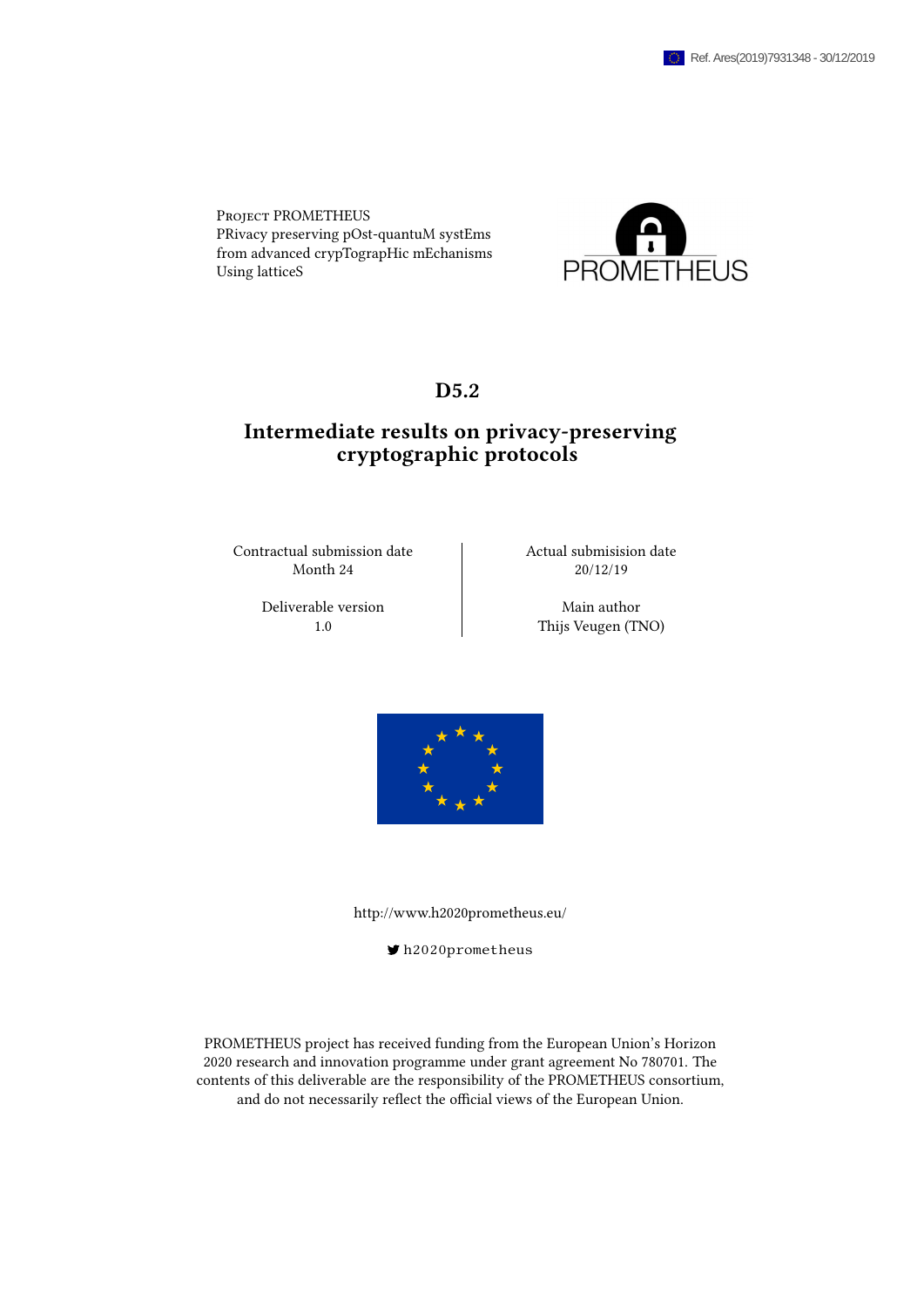Project PROMETHEUS PRivacy preserving pOst-quantuM systEms from advanced crypTograpHic mEchanisms Using latticeS



### D<sub>5.2</sub>

## Intermediate results on privacy-preserving cryptographic protocols

Contractual submission date  $\vert$  Actual submisision date Month 24 20/12/19

Deliverable version and Main author

1.0 **Thijs Veugen (TNO)** 



<http://www.h2020prometheus.eu/>

[h2020prometheus](https://twitter.com/h2020prometheus)

PROMETHEUS project has received funding from the European Union's Horizon 2020 research and innovation programme under grant agreement No 780701. The contents of this deliverable are the responsibility of the PROMETHEUS consortium, and do not necessarily reflect the official views of the European Union.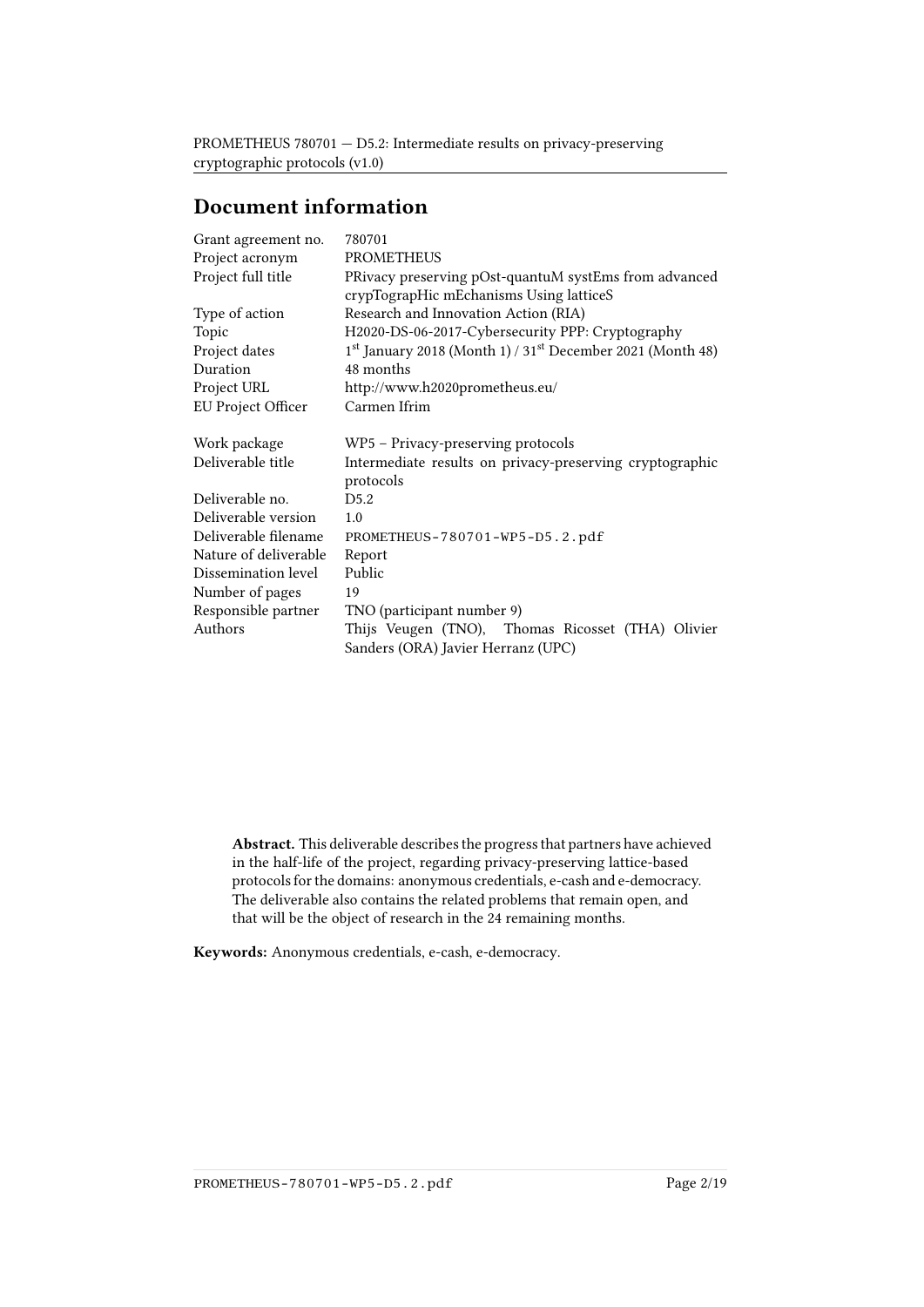## Document information

| Grant agreement no.   | 780701                                                                             |
|-----------------------|------------------------------------------------------------------------------------|
| Project acronym       | <b>PROMETHEUS</b>                                                                  |
| Project full title    | PRivacy preserving pOst-quantuM systEms from advanced                              |
|                       | crypTograpHic mEchanisms Using latticeS                                            |
| Type of action        | Research and Innovation Action (RIA)                                               |
| Topic                 | H2020-DS-06-2017-Cybersecurity PPP: Cryptography                                   |
| Project dates         | 1 <sup>st</sup> January 2018 (Month 1) / 31 <sup>st</sup> December 2021 (Month 48) |
| Duration              | 48 months                                                                          |
| Project URL           | http://www.h2020prometheus.eu/                                                     |
| EU Project Officer    | Carmen Ifrim                                                                       |
| Work package          | WP5 – Privacy-preserving protocols                                                 |
| Deliverable title     | Intermediate results on privacy-preserving cryptographic<br>protocols              |
| Deliverable no.       | D5.2                                                                               |
| Deliverable version   | 1.0                                                                                |
| Deliverable filename  | PROMETHEUS-780701-WP5-D5.2.pdf                                                     |
| Nature of deliverable | Report                                                                             |
| Dissemination level   | Public                                                                             |
| Number of pages       | 19                                                                                 |
| Responsible partner   | TNO (participant number 9)                                                         |
| Authors               | Thijs Veugen (TNO), Thomas Ricosset (THA) Olivier                                  |
|                       | Sanders (ORA) Javier Herranz (UPC)                                                 |

Abstract. This deliverable describes the progress that partners have achieved in the half-life of the project, regarding privacy-preserving lattice-based protocols for the domains: anonymous credentials, e-cash and e-democracy. The deliverable also contains the related problems that remain open, and that will be the object of research in the 24 remaining months.

Keywords: Anonymous credentials, e-cash, e-democracy.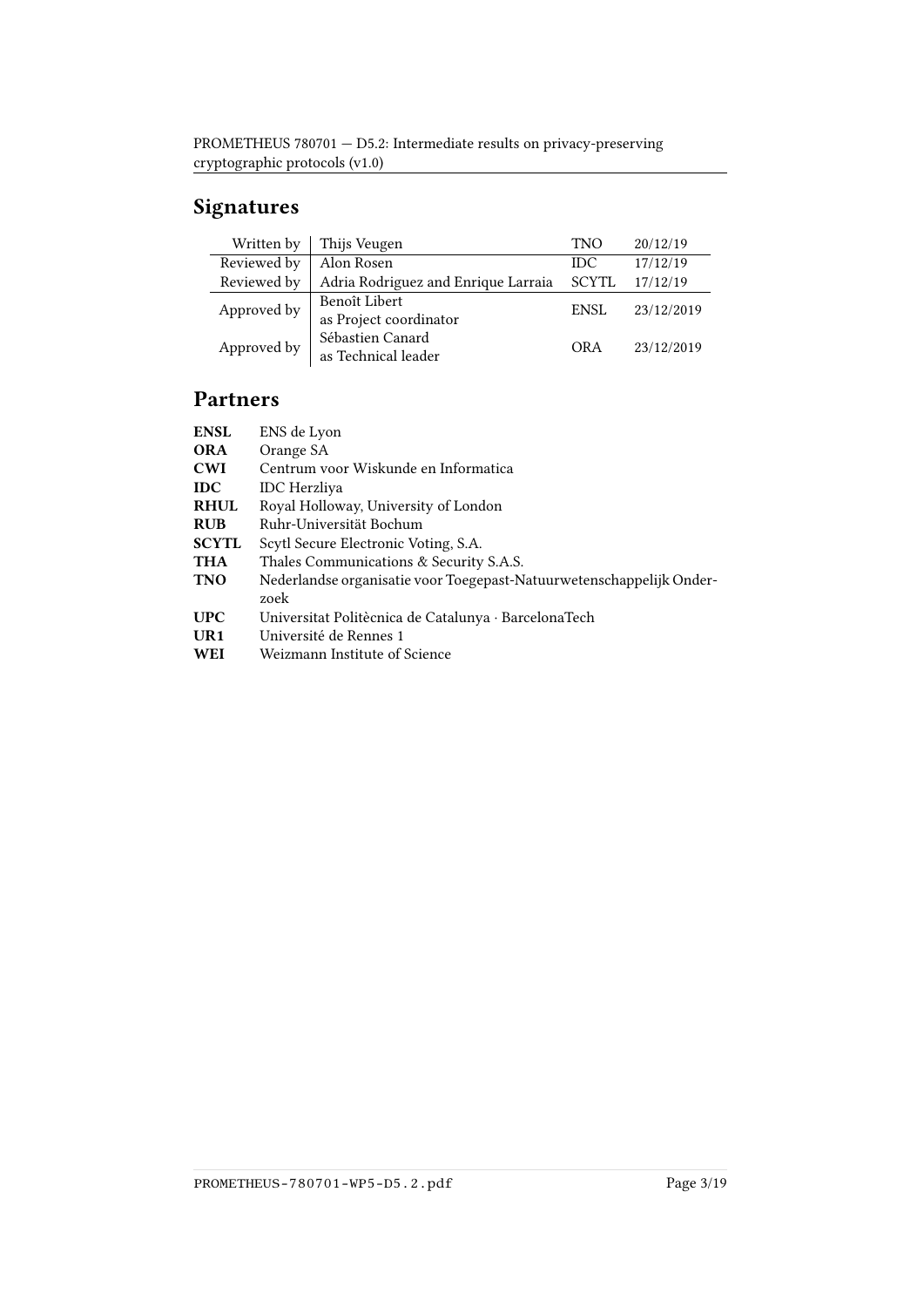# Signatures

| Written by  | Thijs Veugen                            |             | 20/12/19   |
|-------------|-----------------------------------------|-------------|------------|
| Reviewed by | Alon Rosen                              | <b>IDC</b>  | 17/12/19   |
| Reviewed by | Adria Rodriguez and Enrique Larraia     | SCYTL       | 17/12/19   |
| Approved by | Benoît Libert<br>as Project coordinator | <b>ENSL</b> | 23/12/2019 |
| Approved by | Sébastien Canard<br>as Technical leader | <b>ORA</b>  | 23/12/2019 |

## Partners

| ENS de Lyon                                                          |
|----------------------------------------------------------------------|
| Orange SA                                                            |
| Centrum voor Wiskunde en Informatica                                 |
| <b>IDC</b> Herzliva                                                  |
| Royal Holloway, University of London                                 |
| Ruhr-Universität Bochum                                              |
| Scytl Secure Electronic Voting, S.A.                                 |
| Thales Communications & Security S.A.S.                              |
| Nederlandse organisatie voor Toegepast-Natuurwetenschappelijk Onder- |
| zoek                                                                 |
| Universitat Politècnica de Catalunya · BarcelonaTech                 |
| Université de Rennes 1                                               |
| Weizmann Institute of Science                                        |
|                                                                      |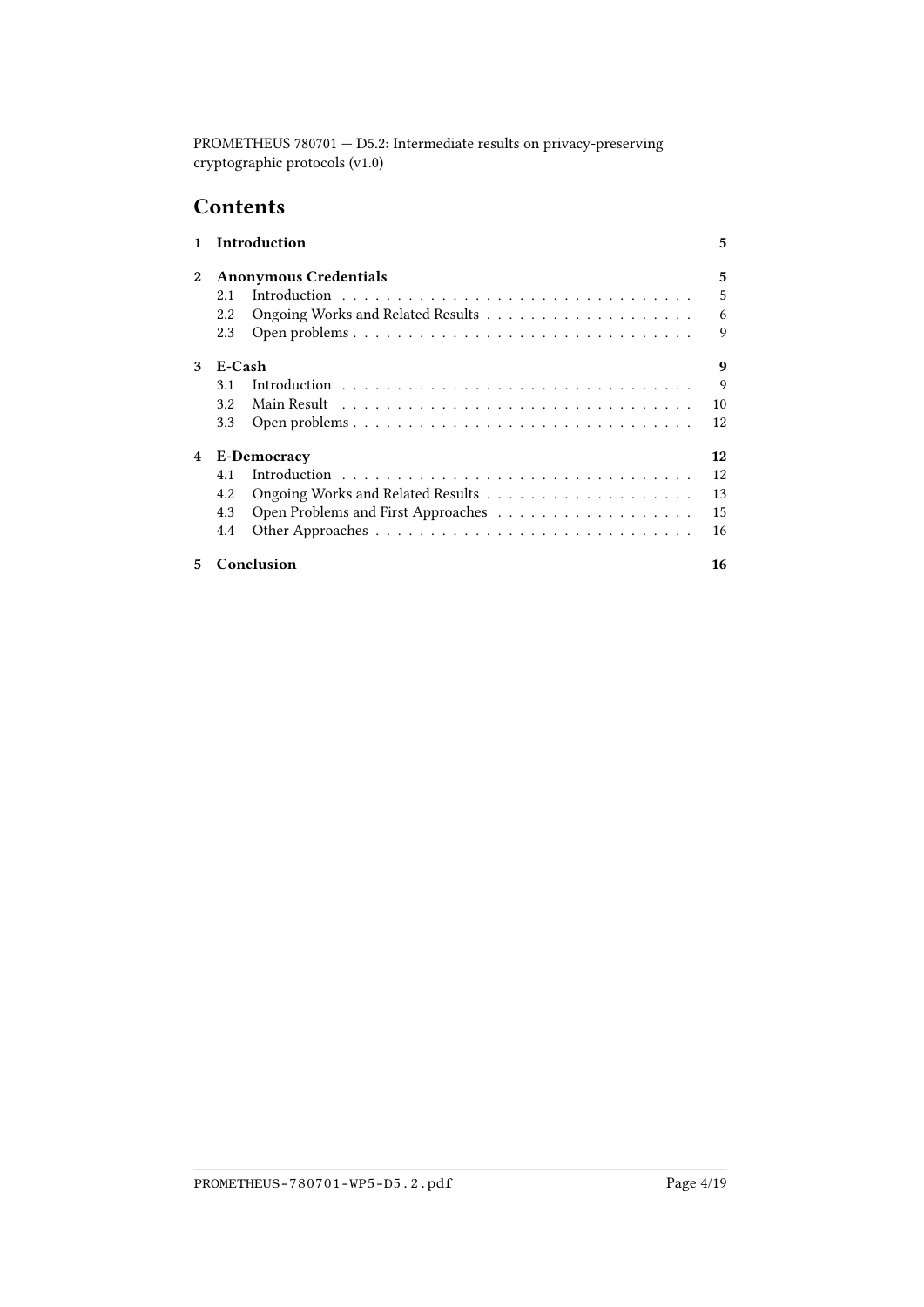# **Contents**

|                  | <b>Introduction</b>          |             |    |  |
|------------------|------------------------------|-------------|----|--|
| $\boldsymbol{2}$ | <b>Anonymous Credentials</b> |             |    |  |
|                  | 2.1                          |             | 5  |  |
|                  | 2.2                          |             | 6  |  |
|                  | 2.3                          |             | 9  |  |
| 3                | E-Cash                       |             | 9  |  |
|                  | 3.1                          |             | 9  |  |
|                  | 3.2                          |             | 10 |  |
|                  | 3.3                          |             | 12 |  |
| 4                |                              | E-Democracy | 12 |  |
|                  | 4.1                          |             | 12 |  |
|                  | 4.2                          |             | 13 |  |
|                  | 4.3                          |             | 15 |  |
|                  | 4.4                          |             | 16 |  |
| 5                | Conclusion                   |             | 16 |  |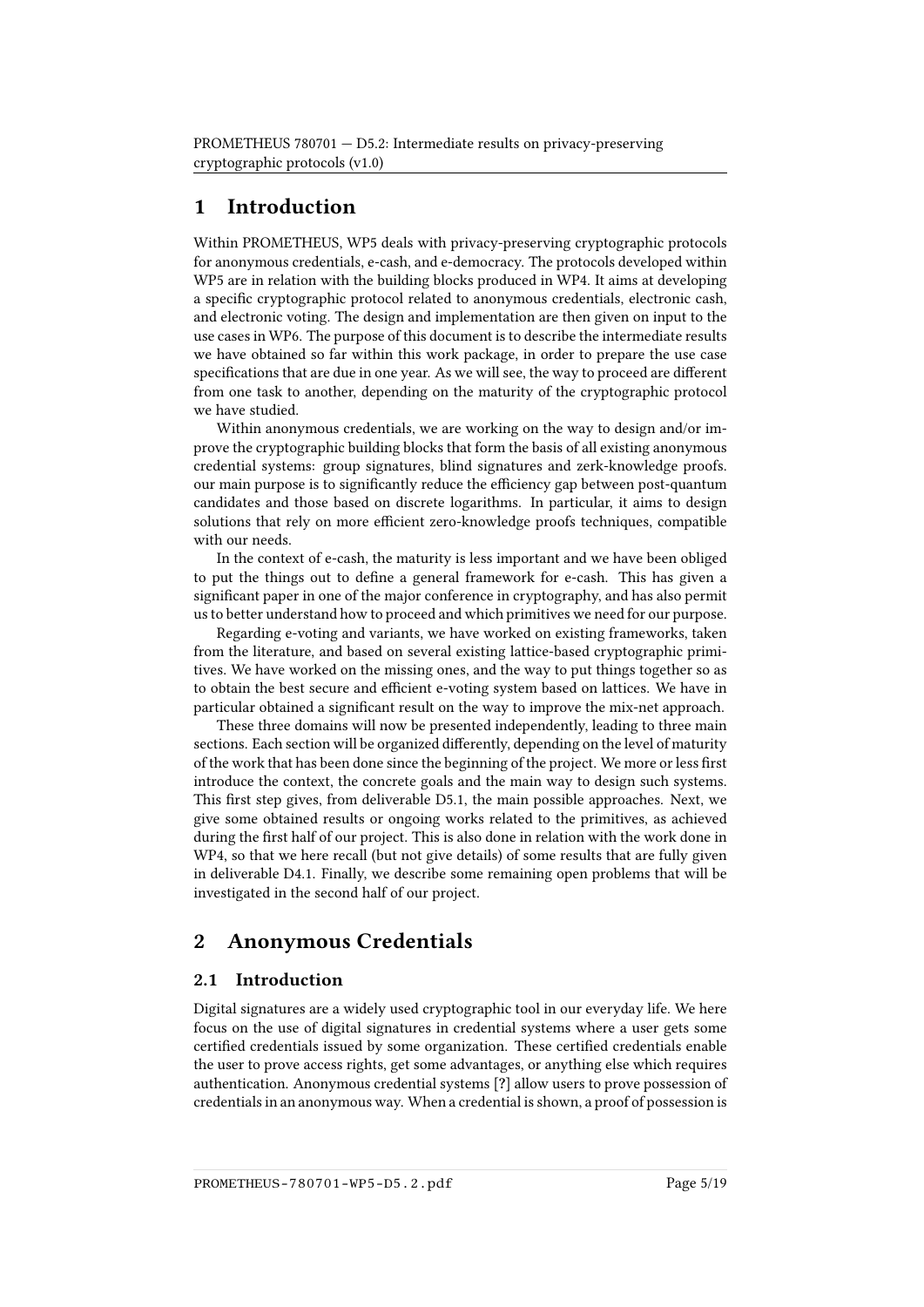## <span id="page-4-0"></span>1 Introduction

Within PROMETHEUS, WP5 deals with privacy-preserving cryptographic protocols for anonymous credentials, e-cash, and e-democracy. The protocols developed within WP5 are in relation with the building blocks produced in WP4. It aims at developing a specific cryptographic protocol related to anonymous credentials, electronic cash, and electronic voting. The design and implementation are then given on input to the use cases in WP6. The purpose of this document is to describe the intermediate results we have obtained so far within this work package, in order to prepare the use case specifications that are due in one year. As we will see, the way to proceed are different from one task to another, depending on the maturity of the cryptographic protocol we have studied.

Within anonymous credentials, we are working on the way to design and/or improve the cryptographic building blocks that form the basis of all existing anonymous credential systems: group signatures, blind signatures and zerk-knowledge proofs. our main purpose is to significantly reduce the efficiency gap between post-quantum candidates and those based on discrete logarithms. In particular, it aims to design solutions that rely on more efficient zero-knowledge proofs techniques, compatible with our needs.

In the context of e-cash, the maturity is less important and we have been obliged to put the things out to dene a general framework for e-cash. This has given a significant paper in one of the major conference in cryptography, and has also permit us to better understand how to proceed and which primitives we need for our purpose.

Regarding e-voting and variants, we have worked on existing frameworks, taken from the literature, and based on several existing lattice-based cryptographic primitives. We have worked on the missing ones, and the way to put things together so as to obtain the best secure and efficient e-voting system based on lattices. We have in particular obtained a signicant result on the way to improve the mix-net approach.

These three domains will now be presented independently, leading to three main sections. Each section will be organized differently, depending on the level of maturity of the work that has been done since the beginning of the project. We more or less first introduce the context, the concrete goals and the main way to design such systems. This first step gives, from deliverable D5.1, the main possible approaches. Next, we give some obtained results or ongoing works related to the primitives, as achieved during the first half of our project. This is also done in relation with the work done in WP4, so that we here recall (but not give details) of some results that are fully given in deliverable D4.1. Finally, we describe some remaining open problems that will be investigated in the second half of our project.

## <span id="page-4-1"></span>2 Anonymous Credentials

### <span id="page-4-2"></span>2.1 Introduction

Digital signatures are a widely used cryptographic tool in our everyday life. We here focus on the use of digital signatures in credential systems where a user gets some certified credentials issued by some organization. These certified credentials enable the user to prove access rights, get some advantages, or anything else which requires authentication. Anonymous credential systems [?] allow users to prove possession of credentials in an anonymous way. When a credential is shown, a proof of possession is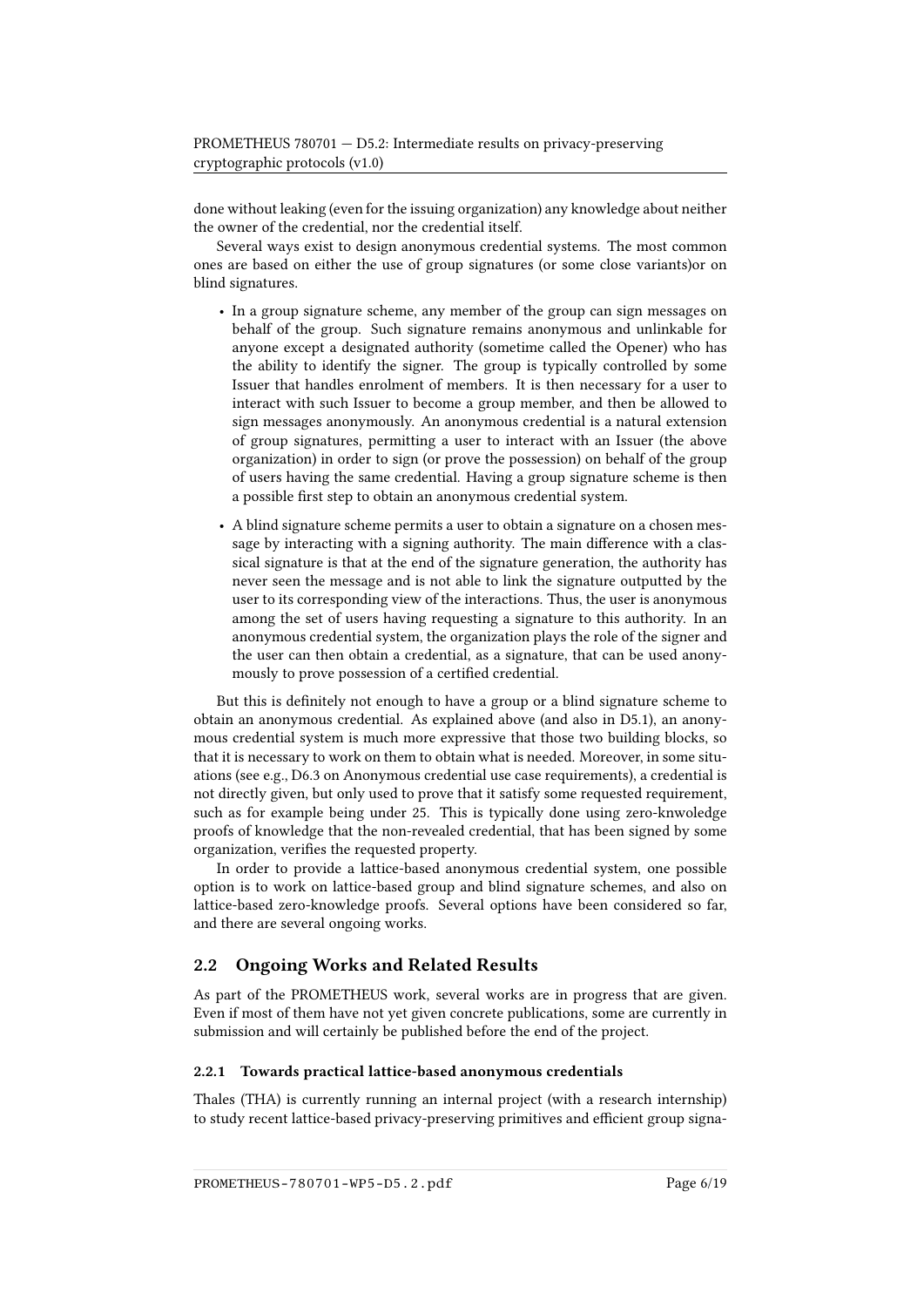done without leaking (even for the issuing organization) any knowledge about neither the owner of the credential, nor the credential itself.

Several ways exist to design anonymous credential systems. The most common ones are based on either the use of group signatures (or some close variants)or on blind signatures.

- In a group signature scheme, any member of the group can sign messages on behalf of the group. Such signature remains anonymous and unlinkable for anyone except a designated authority (sometime called the Opener) who has the ability to identify the signer. The group is typically controlled by some Issuer that handles enrolment of members. It is then necessary for a user to interact with such Issuer to become a group member, and then be allowed to sign messages anonymously. An anonymous credential is a natural extension of group signatures, permitting a user to interact with an Issuer (the above organization) in order to sign (or prove the possession) on behalf of the group of users having the same credential. Having a group signature scheme is then a possible first step to obtain an anonymous credential system.
- A blind signature scheme permits a user to obtain a signature on a chosen message by interacting with a signing authority. The main difference with a classical signature is that at the end of the signature generation, the authority has never seen the message and is not able to link the signature outputted by the user to its corresponding view of the interactions. Thus, the user is anonymous among the set of users having requesting a signature to this authority. In an anonymous credential system, the organization plays the role of the signer and the user can then obtain a credential, as a signature, that can be used anonymously to prove possession of a certified credential.

But this is definitely not enough to have a group or a blind signature scheme to obtain an anonymous credential. As explained above (and also in D5.1), an anonymous credential system is much more expressive that those two building blocks, so that it is necessary to work on them to obtain what is needed. Moreover, in some situations (see e.g., D6.3 on Anonymous credential use case requirements), a credential is not directly given, but only used to prove that it satisfy some requested requirement, such as for example being under 25. This is typically done using zero-knwoledge proofs of knowledge that the non-revealed credential, that has been signed by some organization, verifies the requested property.

In order to provide a lattice-based anonymous credential system, one possible option is to work on lattice-based group and blind signature schemes, and also on lattice-based zero-knowledge proofs. Several options have been considered so far, and there are several ongoing works.

### <span id="page-5-0"></span>2.2 Ongoing Works and Related Results

As part of the PROMETHEUS work, several works are in progress that are given. Even if most of them have not yet given concrete publications, some are currently in submission and will certainly be published before the end of the project.

#### 2.2.1 Towards practical lattice-based anonymous credentials

Thales (THA) is currently running an internal project (with a research internship) to study recent lattice-based privacy-preserving primitives and efficient group signa-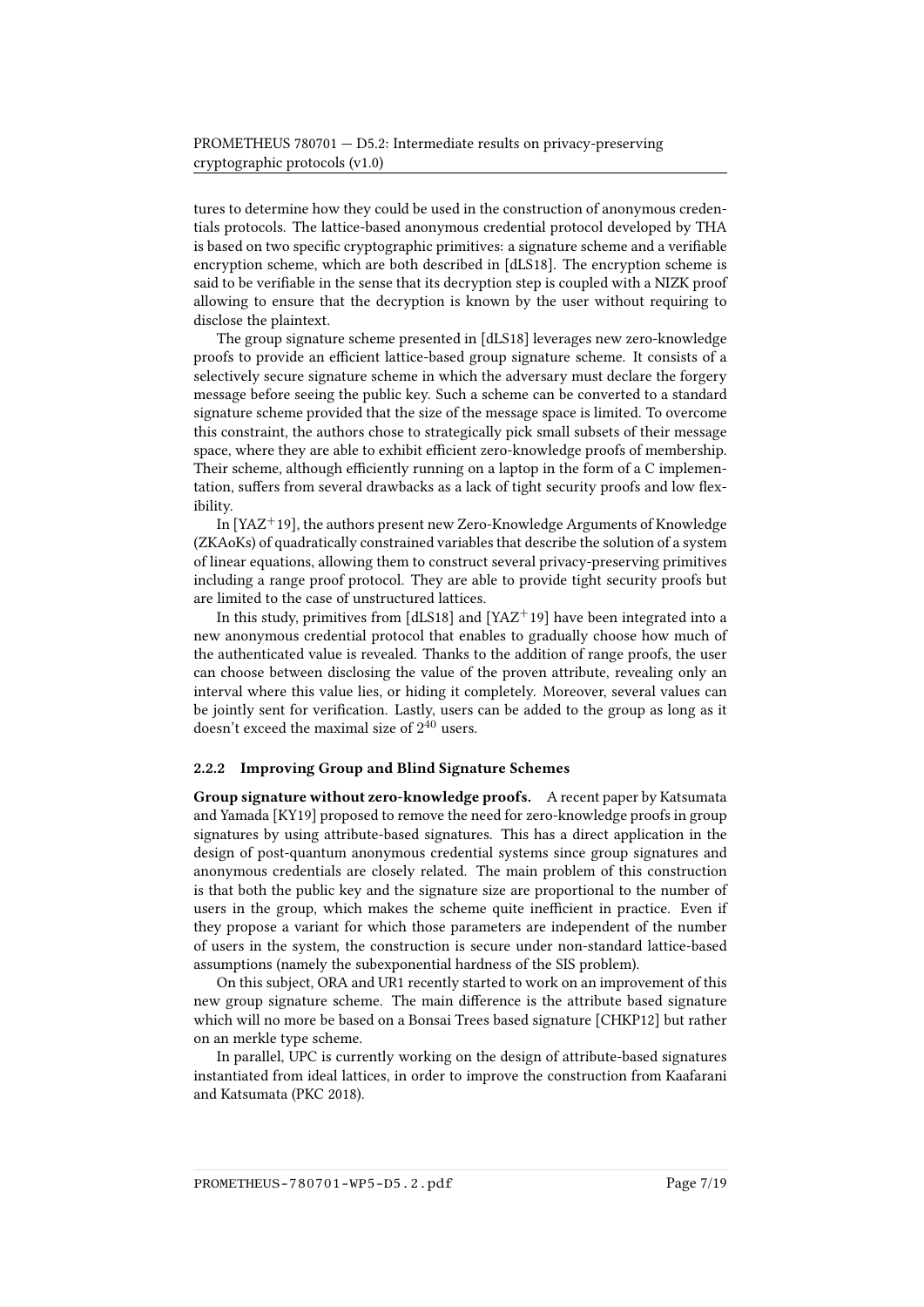tures to determine how they could be used in the construction of anonymous credentials protocols. The lattice-based anonymous credential protocol developed by THA is based on two specific cryptographic primitives: a signature scheme and a verifiable encryption scheme, which are both described in [\[dLS18\]](#page-17-0). The encryption scheme is said to be verifiable in the sense that its decryption step is coupled with a NIZK proof allowing to ensure that the decryption is known by the user without requiring to disclose the plaintext.

The group signature scheme presented in [\[dLS18\]](#page-17-0) leverages new zero-knowledge proofs to provide an efficient lattice-based group signature scheme. It consists of a selectively secure signature scheme in which the adversary must declare the forgery message before seeing the public key. Such a scheme can be converted to a standard signature scheme provided that the size of the message space is limited. To overcome this constraint, the authors chose to strategically pick small subsets of their message space, where they are able to exhibit efficient zero-knowledge proofs of membership. Their scheme, although efficiently running on a laptop in the form of a C implementation, suffers from several drawbacks as a lack of tight security proofs and low flexibility.

In  $[YAZ^+19]$  $[YAZ^+19]$ , the authors present new Zero-Knowledge Arguments of Knowledge (ZKAoKs) of quadratically constrained variables that describe the solution of a system of linear equations, allowing them to construct several privacy-preserving primitives including a range proof protocol. They are able to provide tight security proofs but are limited to the case of unstructured lattices.

In this study, primitives from [\[dLS18\]](#page-17-0) and [\[YAZ](#page-18-0)<sup>+</sup>19] have been integrated into a new anonymous credential protocol that enables to gradually choose how much of the authenticated value is revealed. Thanks to the addition of range proofs, the user can choose between disclosing the value of the proven attribute, revealing only an interval where this value lies, or hiding it completely. Moreover, several values can be jointly sent for verification. Lastly, users can be added to the group as long as it doesn't exceed the maximal size of  $2^{40}$  users.

#### 2.2.2 Improving Group and Blind Signature Schemes

Group signature without zero-knowledge proofs. A recent paper by Katsumata and Yamada [\[KY19\]](#page-17-1) proposed to remove the need for zero-knowledge proofs in group signatures by using attribute-based signatures. This has a direct application in the design of post-quantum anonymous credential systems since group signatures and anonymous credentials are closely related. The main problem of this construction is that both the public key and the signature size are proportional to the number of users in the group, which makes the scheme quite inefficient in practice. Even if they propose a variant for which those parameters are independent of the number of users in the system, the construction is secure under non-standard lattice-based assumptions (namely the subexponential hardness of the SIS problem).

On this subject, ORA and UR1 recently started to work on an improvement of this new group signature scheme. The main difference is the attribute based signature which will no more be based on a Bonsai Trees based signature [\[CHKP12\]](#page-17-2) but rather on an merkle type scheme.

In parallel, UPC is currently working on the design of attribute-based signatures instantiated from ideal lattices, in order to improve the construction from Kaafarani and Katsumata (PKC 2018).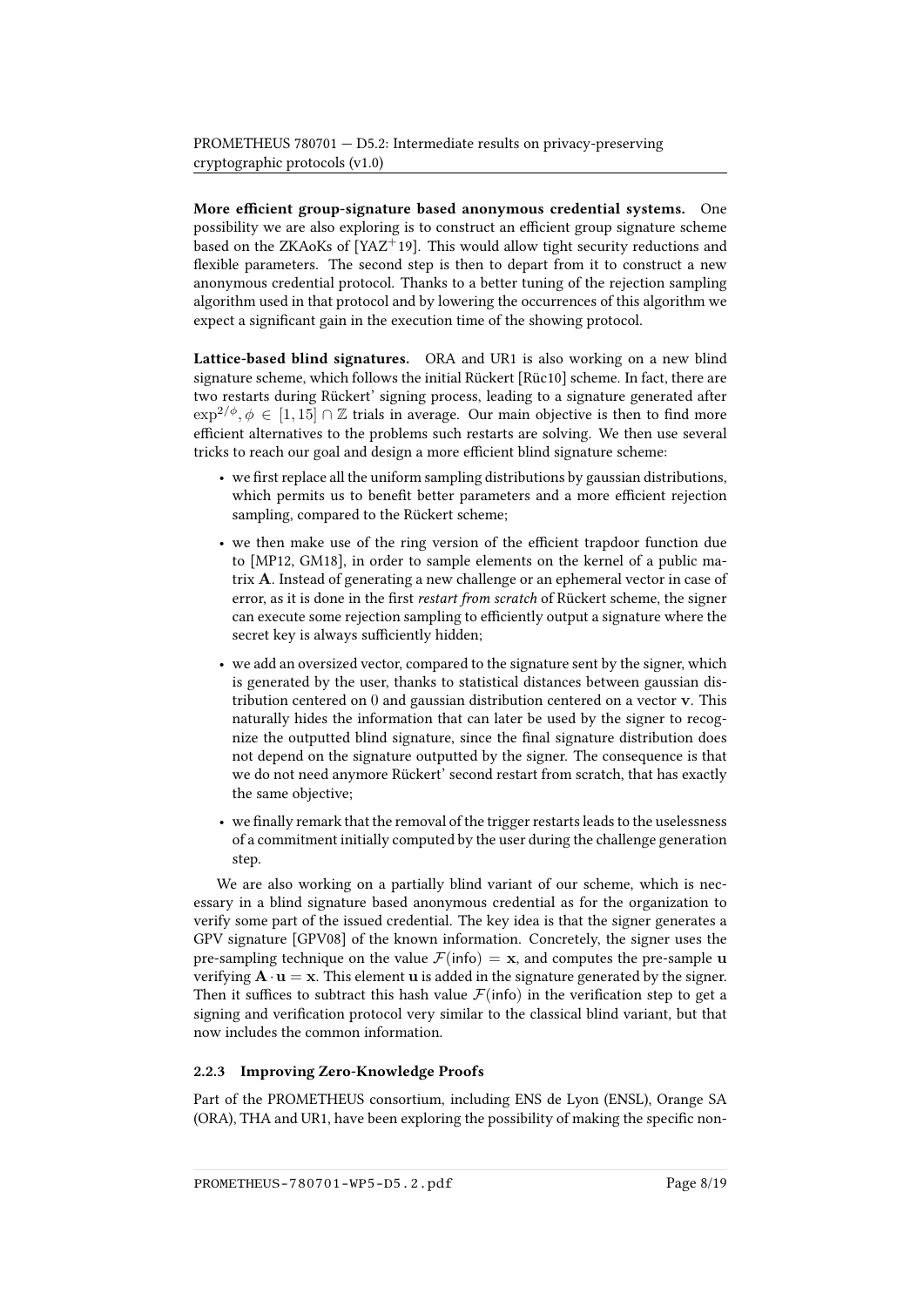More efficient group-signature based anonymous credential systems. One possibility we are also exploring is to construct an efficient group signature scheme based on the ZKAoKs of [\[YAZ](#page-18-0)+19]. This would allow tight security reductions and flexible parameters. The second step is then to depart from it to construct a new anonymous credential protocol. Thanks to a better tuning of the rejection sampling algorithm used in that protocol and by lowering the occurrences of this algorithm we expect a significant gain in the execution time of the showing protocol.

Lattice-based blind signatures. ORA and UR1 is also working on a new blind signature scheme, which follows the initial Rückert [\[Rüc10\]](#page-18-1) scheme. In fact, there are two restarts during Rückert' signing process, leading to a signature generated after  $\exp^{2/\phi}, \phi \in [1, 15] \cap \mathbb{Z}$  trials in average. Our main objective is then to find more efficient alternatives to the problems such restarts are solving. We then use several tricks to reach our goal and design a more efficient blind signature scheme:

- $\bullet$  we first replace all the uniform sampling distributions by gaussian distributions, which permits us to benefit better parameters and a more efficient rejection sampling, compared to the Rückert scheme;
- we then make use of the ring version of the efficient trapdoor function due to [\[MP12,](#page-18-2) [GM18\]](#page-17-3), in order to sample elements on the kernel of a public matrix A. Instead of generating a new challenge or an ephemeral vector in case of error, as it is done in the first restart from scratch of Rückert scheme, the signer can execute some rejection sampling to efficiently output a signature where the secret key is always sufficiently hidden;
- we add an oversized vector, compared to the signature sent by the signer, which is generated by the user, thanks to statistical distances between gaussian distribution centered on 0 and gaussian distribution centered on a vector v. This naturally hides the information that can later be used by the signer to recognize the outputted blind signature, since the final signature distribution does not depend on the signature outputted by the signer. The consequence is that we do not need anymore Rückert' second restart from scratch, that has exactly the same objective;
- we finally remark that the removal of the trigger restarts leads to the uselessness of a commitment initially computed by the user during the challenge generation step.

We are also working on a partially blind variant of our scheme, which is necessary in a blind signature based anonymous credential as for the organization to verify some part of the issued credential. The key idea is that the signer generates a GPV signature [\[GPV08\]](#page-17-4) of the known information. Concretely, the signer uses the pre-sampling technique on the value  $\mathcal{F}(\text{info}) = \mathbf{x}$ , and computes the pre-sample **u** verifying  $\mathbf{A} \cdot \mathbf{u} = \mathbf{x}$ . This element **u** is added in the signature generated by the signer. Then it suffices to subtract this hash value  $\mathcal{F}$ (info) in the verification step to get a signing and verification protocol very similar to the classical blind variant, but that now includes the common information.

#### 2.2.3 Improving Zero-Knowledge Proofs

Part of the PROMETHEUS consortium, including ENS de Lyon (ENSL), Orange SA (ORA), THA and UR1, have been exploring the possibility of making the specific non-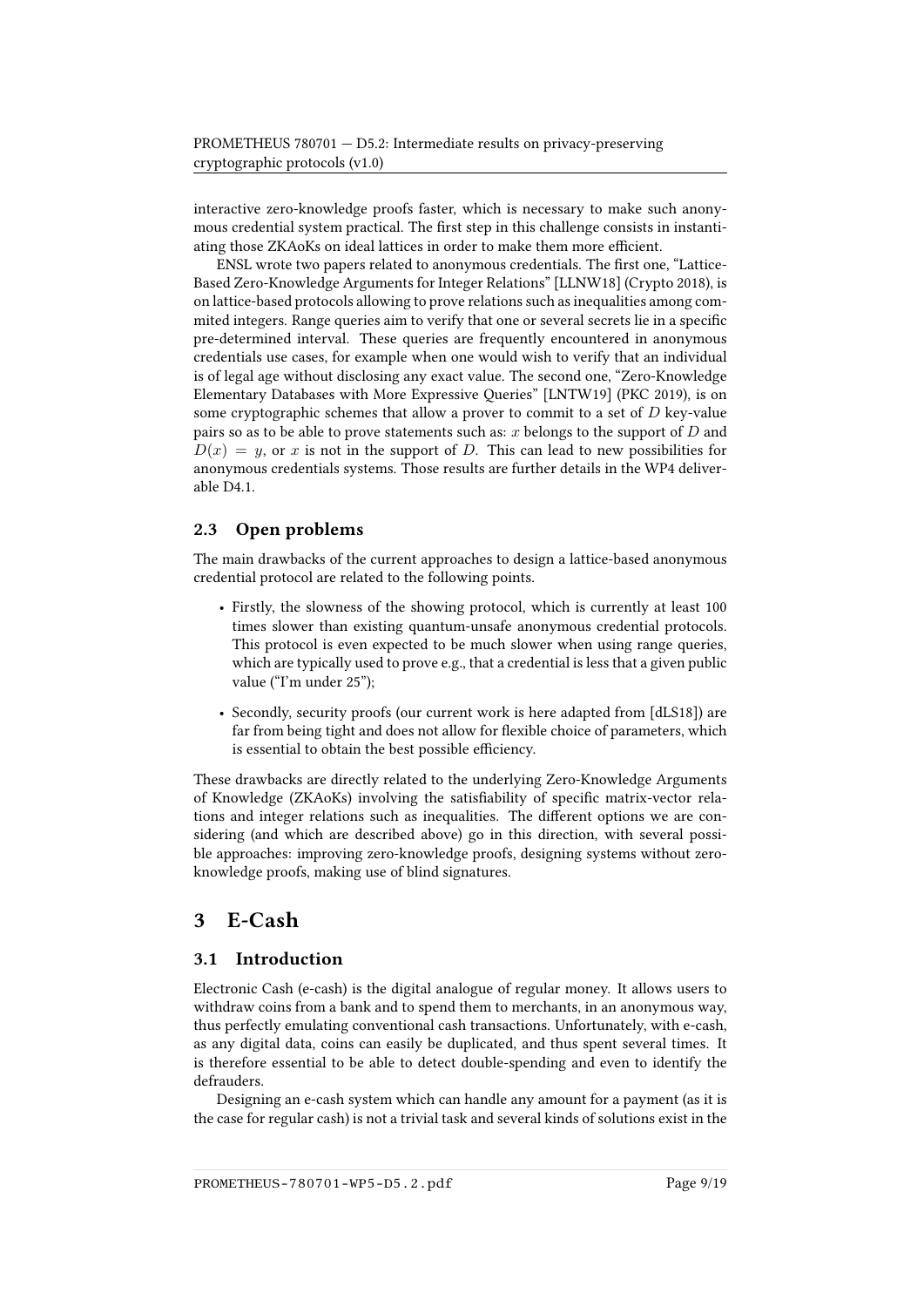interactive zero-knowledge proofs faster, which is necessary to make such anonymous credential system practical. The first step in this challenge consists in instantiating those ZKAoKs on ideal lattices in order to make them more efficient.

ENSL wrote two papers related to anonymous credentials. The first one, "Lattice-Based Zero-Knowledge Arguments for Integer Relations" [\[LLNW18\]](#page-17-5) (Crypto 2018), is on lattice-based protocols allowing to prove relations such as inequalities among commited integers. Range queries aim to verify that one or several secrets lie in a specific pre-determined interval. These queries are frequently encountered in anonymous credentials use cases, for example when one would wish to verify that an individual is of legal age without disclosing any exact value. The second one, "Zero-Knowledge Elementary Databases with More Expressive Queries" [\[LNTW19\]](#page-18-3) (PKC 2019), is on some cryptographic schemes that allow a prover to commit to a set of  $D$  key-value pairs so as to be able to prove statements such as:  $x$  belongs to the support of  $D$  and  $D(x) = y$ , or x is not in the support of D. This can lead to new possibilities for anonymous credentials systems. Those results are further details in the WP4 deliverable D4.1.

#### <span id="page-8-0"></span>2.3 Open problems

The main drawbacks of the current approaches to design a lattice-based anonymous credential protocol are related to the following points.

- Firstly, the slowness of the showing protocol, which is currently at least 100 times slower than existing quantum-unsafe anonymous credential protocols. This protocol is even expected to be much slower when using range queries, which are typically used to prove e.g., that a credential is less that a given public value ("I'm under 25");
- Secondly, security proofs (our current work is here adapted from [\[dLS18\]](#page-17-0)) are far from being tight and does not allow for flexible choice of parameters, which is essential to obtain the best possible efficiency.

These drawbacks are directly related to the underlying Zero-Knowledge Arguments of Knowledge (ZKAoKs) involving the satisfiability of specific matrix-vector relations and integer relations such as inequalities. The different options we are considering (and which are described above) go in this direction, with several possible approaches: improving zero-knowledge proofs, designing systems without zeroknowledge proofs, making use of blind signatures.

## <span id="page-8-1"></span>3 E-Cash

### <span id="page-8-2"></span>3.1 Introduction

Electronic Cash (e-cash) is the digital analogue of regular money. It allows users to withdraw coins from a bank and to spend them to merchants, in an anonymous way, thus perfectly emulating conventional cash transactions. Unfortunately, with e-cash, as any digital data, coins can easily be duplicated, and thus spent several times. It is therefore essential to be able to detect double-spending and even to identify the defrauders.

Designing an e-cash system which can handle any amount for a payment (as it is the case for regular cash) is not a trivial task and several kinds of solutions exist in the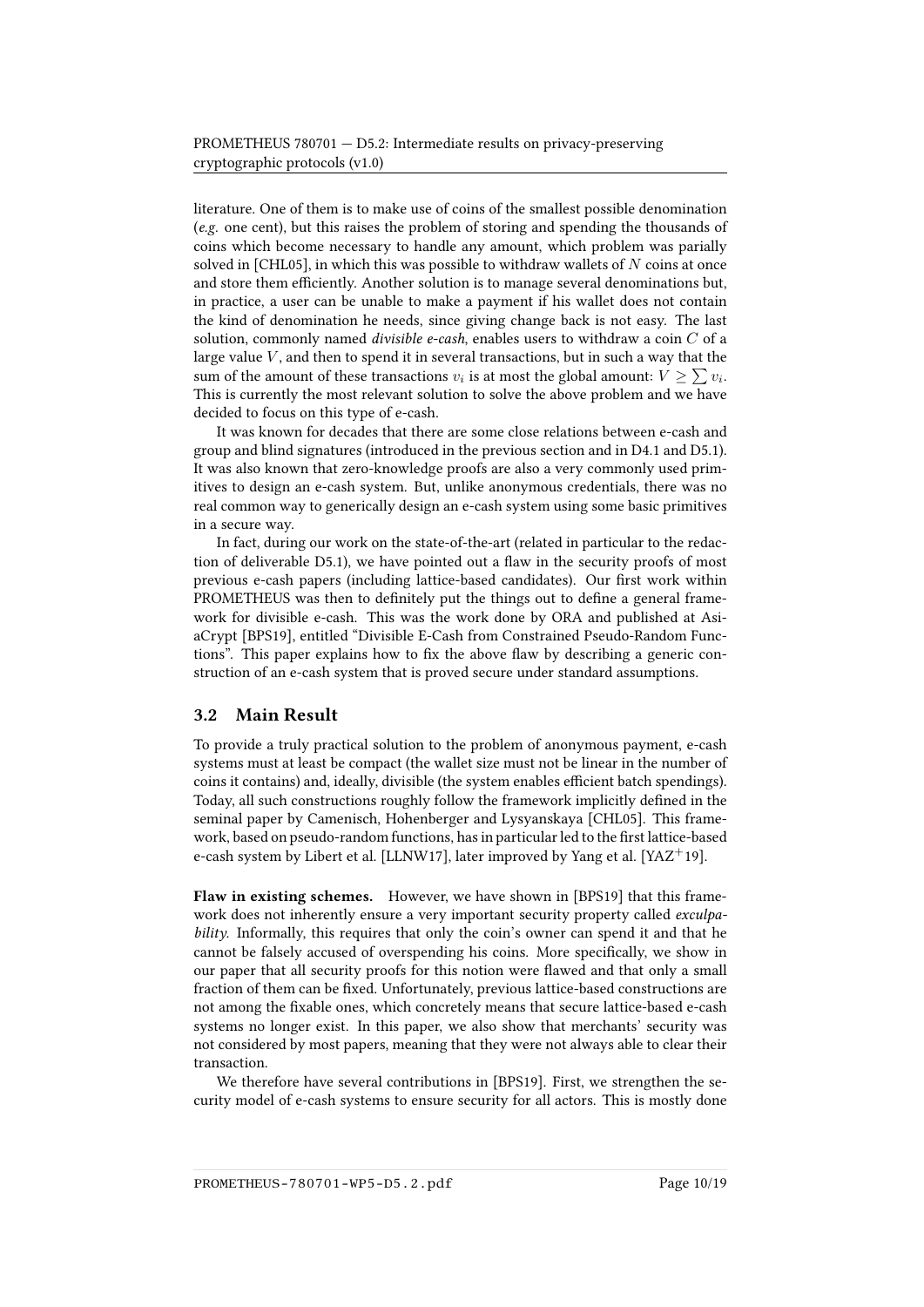literature. One of them is to make use of coins of the smallest possible denomination (e.g. one cent), but this raises the problem of storing and spending the thousands of coins which become necessary to handle any amount, which problem was parially solved in [\[CHL05\]](#page-17-6), in which this was possible to withdraw wallets of  $N$  coins at once and store them efficiently. Another solution is to manage several denominations but, in practice, a user can be unable to make a payment if his wallet does not contain the kind of denomination he needs, since giving change back is not easy. The last solution, commonly named *divisible e-cash*, enables users to withdraw a coin  $C$  of a large value  $V$ , and then to spend it in several transactions, but in such a way that the sum of the amount of these transactions  $v_i$  is at most the global amount:  $V \geq \sum v_i$ . This is currently the most relevant solution to solve the above problem and we have decided to focus on this type of e-cash.

It was known for decades that there are some close relations between e-cash and group and blind signatures (introduced in the previous section and in D4.1 and D5.1). It was also known that zero-knowledge proofs are also a very commonly used primitives to design an e-cash system. But, unlike anonymous credentials, there was no real common way to generically design an e-cash system using some basic primitives in a secure way.

In fact, during our work on the state-of-the-art (related in particular to the redaction of deliverable D5.1), we have pointed out a flaw in the security proofs of most previous e-cash papers (including lattice-based candidates). Our first work within PROMETHEUS was then to definitely put the things out to define a general framework for divisible e-cash. This was the work done by ORA and published at AsiaCrypt [\[BPS19\]](#page-16-0), entitled "Divisible E-Cash from Constrained Pseudo-Random Functions". This paper explains how to fix the above flaw by describing a generic construction of an e-cash system that is proved secure under standard assumptions.

#### <span id="page-9-0"></span>3.2 Main Result

To provide a truly practical solution to the problem of anonymous payment, e-cash systems must at least be compact (the wallet size must not be linear in the number of coins it contains) and, ideally, divisible (the system enables efficient batch spendings). Today, all such constructions roughly follow the framework implicitly defined in the seminal paper by Camenisch, Hohenberger and Lysyanskaya [\[CHL05\]](#page-17-6). This framework, based on pseudo-random functions, has in particular led to the first lattice-based e-cash system by Libert et al. [\[LLNW17\]](#page-17-7), later improved by Yang et al. [\[YAZ](#page-18-0)<sup>+</sup>19].

Flaw in existing schemes. However, we have shown in [\[BPS19\]](#page-16-0) that this framework does not inherently ensure a very important security property called *exculpa*bility. Informally, this requires that only the coin's owner can spend it and that he cannot be falsely accused of overspending his coins. More specifically, we show in our paper that all security proofs for this notion were flawed and that only a small fraction of them can be fixed. Unfortunately, previous lattice-based constructions are not among the fixable ones, which concretely means that secure lattice-based e-cash systems no longer exist. In this paper, we also show that merchants' security was not considered by most papers, meaning that they were not always able to clear their transaction.

We therefore have several contributions in [\[BPS19\]](#page-16-0). First, we strengthen the security model of e-cash systems to ensure security for all actors. This is mostly done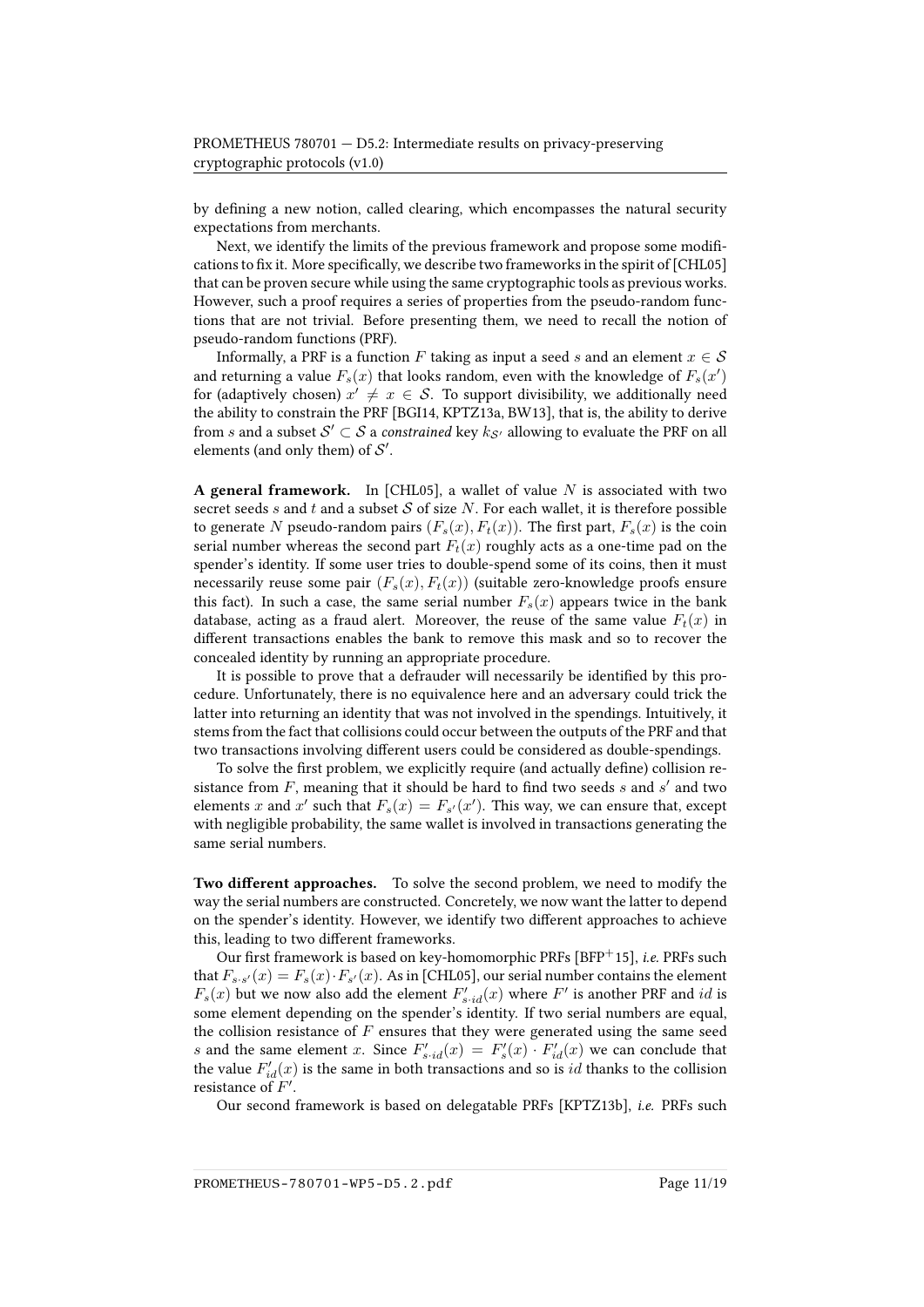by defining a new notion, called clearing, which encompasses the natural security expectations from merchants.

Next, we identify the limits of the previous framework and propose some modifications to fix it. More specifically, we describe two frameworks in the spirit of  $[CHL05]$ that can be proven secure while using the same cryptographic tools as previous works. However, such a proof requires a series of properties from the pseudo-random functions that are not trivial. Before presenting them, we need to recall the notion of pseudo-random functions (PRF).

Informally, a PRF is a function F taking as input a seed s and an element  $x \in S$ and returning a value  $F_s(x)$  that looks random, even with the knowledge of  $F_s(x')$ for (adaptively chosen)  $x' \neq x \in S$ . To support divisibility, we additionally need the ability to constrain the PRF [\[BGI14,](#page-16-1) [KPTZ13a,](#page-17-8) [BW13\]](#page-16-2), that is, the ability to derive from  $s$  and a subset  $\mathcal{S}' \subset \mathcal{S}$  a *constrained* key  $k_{\mathcal{S}'}$  allowing to evaluate the PRF on all elements (and only them) of  $\mathcal{S}'$ .

A general framework. In [\[CHL05\]](#page-17-6), a wallet of value N is associated with two secret seeds s and t and a subset S of size N. For each wallet, it is therefore possible to generate N pseudo-random pairs  $(F_s(x), F_t(x))$ . The first part,  $F_s(x)$  is the coin serial number whereas the second part  $F_t(x)$  roughly acts as a one-time pad on the spender's identity. If some user tries to double-spend some of its coins, then it must necessarily reuse some pair  $(F_s(x), F_t(x))$  (suitable zero-knowledge proofs ensure this fact). In such a case, the same serial number  $F_s(x)$  appears twice in the bank database, acting as a fraud alert. Moreover, the reuse of the same value  $F_t(x)$  in different transactions enables the bank to remove this mask and so to recover the concealed identity by running an appropriate procedure.

It is possible to prove that a defrauder will necessarily be identified by this procedure. Unfortunately, there is no equivalence here and an adversary could trick the latter into returning an identity that was not involved in the spendings. Intuitively, it stems from the fact that collisions could occur between the outputs of the PRF and that two transactions involving different users could be considered as double-spendings.

To solve the first problem, we explicitly require (and actually define) collision resistance from  $F$ , meaning that it should be hard to find two seeds  $s$  and  $s'$  and two elements x and x' such that  $F_s(x) = F_{s'}(x')$ . This way, we can ensure that, except with negligible probability, the same wallet is involved in transactions generating the same serial numbers.

Two different approaches. To solve the second problem, we need to modify the way the serial numbers are constructed. Concretely, we now want the latter to depend on the spender's identity. However, we identify two different approaches to achieve this, leading to two different frameworks.

Our first framework is based on key-homomorphic PRFs [\[BFP](#page-16-3)+15], *i.e.* PRFs such that  $F_{s \cdot s'}(x) = F_s(x) \cdot F_{s'}(x)$ . As in [\[CHL05\]](#page-17-6), our serial number contains the element  $F_s(x)$  but we now also add the element  $F'_{s \cdot id}(x)$  where  $F'$  is another PRF and  $id$  is some element depending on the spender's identity. If two serial numbers are equal, the collision resistance of  $F$  ensures that they were generated using the same seed s and the same element x. Since  $F'_{s \cdot id}(x) = F'_{s}(x) \cdot F'_{id}(x)$  we can conclude that the value  $F'_{id}(x)$  is the same in both transactions and so is  $id$  thanks to the collision resistance of  $F'$ .

Our second framework is based on delegatable PRFs [\[KPTZ13b\]](#page-17-9), i.e. PRFs such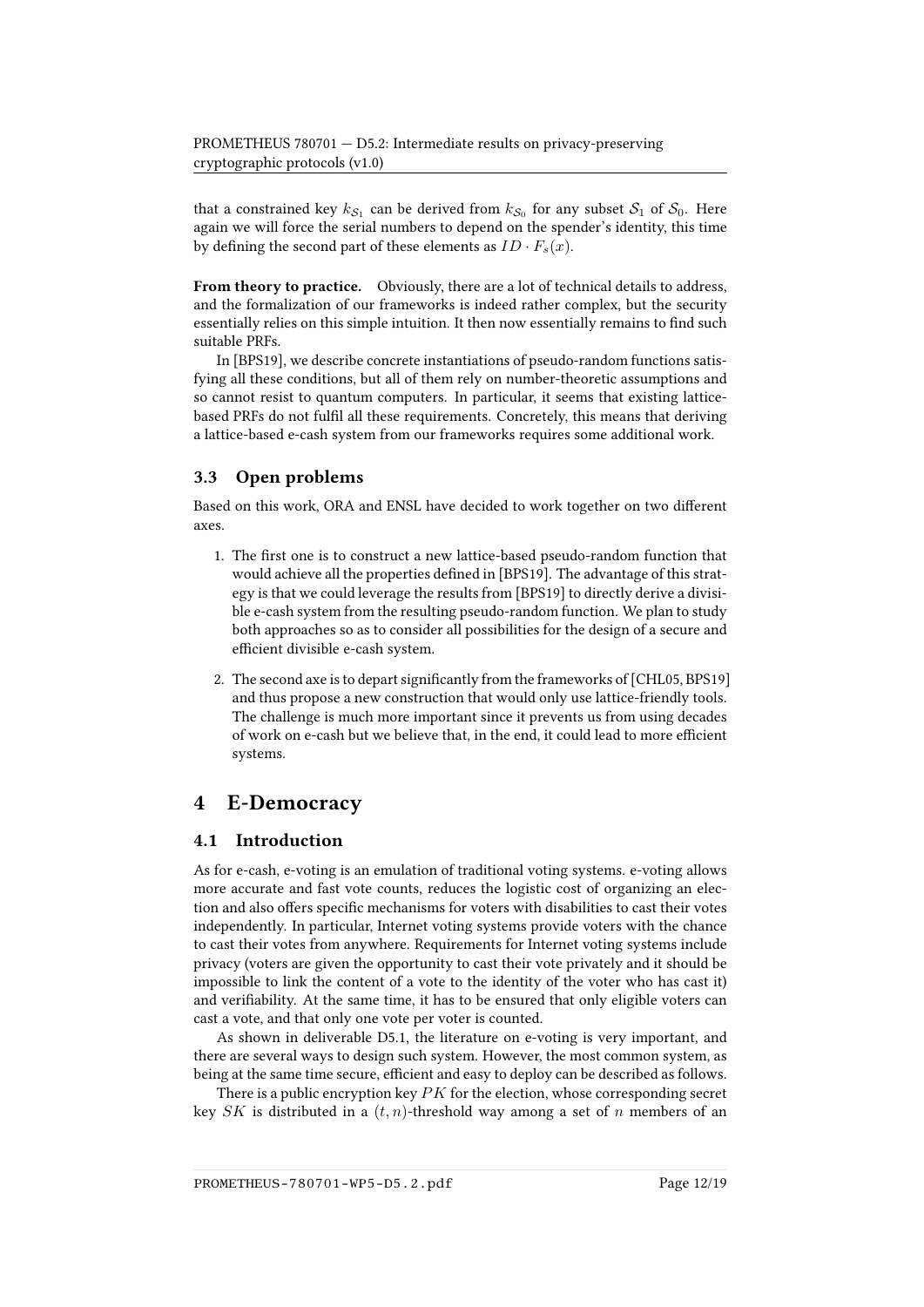that a constrained key  $k_{\mathcal{S}_1}$  can be derived from  $k_{\mathcal{S}_0}$  for any subset  $\mathcal{S}_1$  of  $\mathcal{S}_0$ . Here again we will force the serial numbers to depend on the spender's identity, this time by defining the second part of these elements as  $ID \cdot F_s(x)$ .

From theory to practice. Obviously, there are a lot of technical details to address, and the formalization of our frameworks is indeed rather complex, but the security essentially relies on this simple intuition. It then now essentially remains to find such suitable PRFs.

In [\[BPS19\]](#page-16-0), we describe concrete instantiations of pseudo-random functions satisfying all these conditions, but all of them rely on number-theoretic assumptions and so cannot resist to quantum computers. In particular, it seems that existing latticebased PRFs do not fulfil all these requirements. Concretely, this means that deriving a lattice-based e-cash system from our frameworks requires some additional work.

### <span id="page-11-0"></span>3.3 Open problems

Based on this work, ORA and ENSL have decided to work together on two different axes.

- 1. The first one is to construct a new lattice-based pseudo-random function that would achieve all the properties defined in [\[BPS19\]](#page-16-0). The advantage of this strategy is that we could leverage the results from [\[BPS19\]](#page-16-0) to directly derive a divisible e-cash system from the resulting pseudo-random function. We plan to study both approaches so as to consider all possibilities for the design of a secure and efficient divisible e-cash system.
- 2. The second axe is to depart significantly from the frameworks of [\[CHL05,](#page-17-6) [BPS19\]](#page-16-0) and thus propose a new construction that would only use lattice-friendly tools. The challenge is much more important since it prevents us from using decades of work on e-cash but we believe that, in the end, it could lead to more efficient systems.

## <span id="page-11-1"></span>4 E-Democracy

#### <span id="page-11-2"></span>4.1 Introduction

As for e-cash, e-voting is an emulation of traditional voting systems. e-voting allows more accurate and fast vote counts, reduces the logistic cost of organizing an election and also offers specific mechanisms for voters with disabilities to cast their votes independently. In particular, Internet voting systems provide voters with the chance to cast their votes from anywhere. Requirements for Internet voting systems include privacy (voters are given the opportunity to cast their vote privately and it should be impossible to link the content of a vote to the identity of the voter who has cast it) and verifiability. At the same time, it has to be ensured that only eligible voters can cast a vote, and that only one vote per voter is counted.

As shown in deliverable D5.1, the literature on e-voting is very important, and there are several ways to design such system. However, the most common system, as being at the same time secure, efficient and easy to deploy can be described as follows.

There is a public encryption key  $PK$  for the election, whose corresponding secret key SK is distributed in a  $(t, n)$ -threshold way among a set of n members of an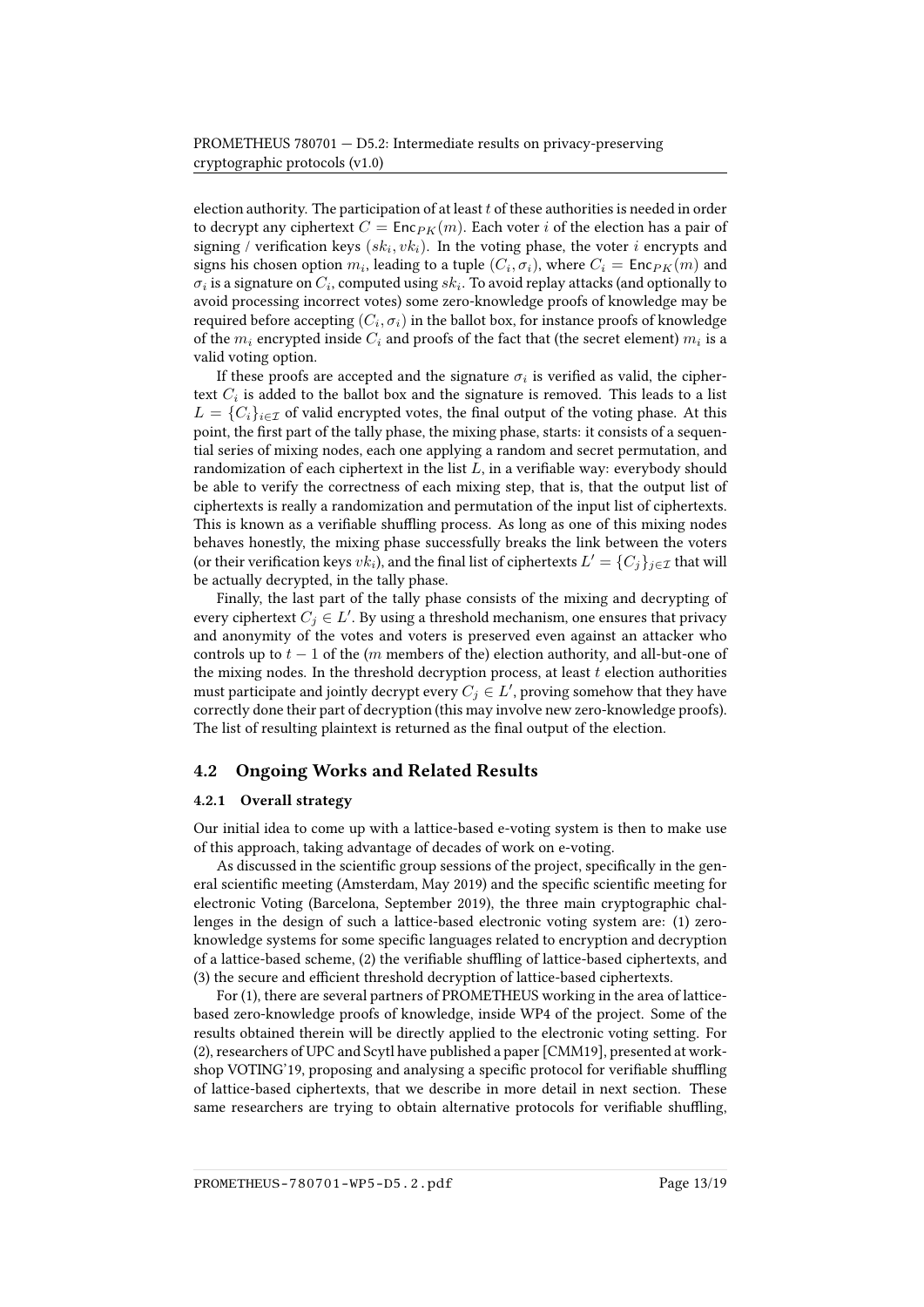election authority. The participation of at least  $t$  of these authorities is needed in order to decrypt any ciphertext  $C = \text{Enc}_{PK}(m)$ . Each voter *i* of the election has a pair of signing / verification keys  $(\mathit{sk}_i, \mathit{vk}_i)$ . In the voting phase, the voter  $i$  encrypts and signs his chosen option  $m_i$ , leading to a tuple  $(C_i,\sigma_i)$ , where  $C_i = \mathsf{Enc}_{PK}(m)$  and  $\sigma_i$  is a signature on  $C_i$ , computed using  $sk_i.$  To avoid replay attacks (and optionally to avoid processing incorrect votes) some zero-knowledge proofs of knowledge may be required before accepting  $(C_i,\sigma_i)$  in the ballot box, for instance proofs of knowledge of the  $m_i$  encrypted inside  $C_i$  and proofs of the fact that (the secret element)  $m_i$  is a valid voting option.

If these proofs are accepted and the signature  $\sigma_i$  is verified as valid, the ciphertext  $C_i$  is added to the ballot box and the signature is removed. This leads to a list  $L = \{C_i\}_{i \in \mathcal{I}}$  of valid encrypted votes, the final output of the voting phase. At this point, the first part of the tally phase, the mixing phase, starts: it consists of a sequential series of mixing nodes, each one applying a random and secret permutation, and randomization of each ciphertext in the list  $L$ , in a verifiable way: everybody should be able to verify the correctness of each mixing step, that is, that the output list of ciphertexts is really a randomization and permutation of the input list of ciphertexts. This is known as a verifiable shuffling process. As long as one of this mixing nodes behaves honestly, the mixing phase successfully breaks the link between the voters (or their verification keys  $vk_i$ ), and the final list of ciphertexts  $L' = \{C_j\}_{j \in \mathcal{I}}$  that will be actually decrypted, in the tally phase.

Finally, the last part of the tally phase consists of the mixing and decrypting of every ciphertext  $C_j \in L'$ . By using a threshold mechanism, one ensures that privacy and anonymity of the votes and voters is preserved even against an attacker who controls up to  $t - 1$  of the (m members of the) election authority, and all-but-one of the mixing nodes. In the threshold decryption process, at least  $t$  election authorities must participate and jointly decrypt every  $C_j \in L'$ , proving somehow that they have correctly done their part of decryption (this may involve new zero-knowledge proofs). The list of resulting plaintext is returned as the final output of the election.

#### <span id="page-12-0"></span>4.2 Ongoing Works and Related Results

#### 4.2.1 Overall strategy

Our initial idea to come up with a lattice-based e-voting system is then to make use of this approach, taking advantage of decades of work on e-voting.

As discussed in the scientific group sessions of the project, specifically in the general scientific meeting (Amsterdam, May 2019) and the specific scientific meeting for electronic Voting (Barcelona, September 2019), the three main cryptographic challenges in the design of such a lattice-based electronic voting system are: (1) zeroknowledge systems for some specific languages related to encryption and decryption of a lattice-based scheme, (2) the verifiable shuffling of lattice-based ciphertexts, and (3) the secure and efficient threshold decryption of lattice-based ciphertexts.

For (1), there are several partners of PROMETHEUS working in the area of latticebased zero-knowledge proofs of knowledge, inside WP4 of the project. Some of the results obtained therein will be directly applied to the electronic voting setting. For (2), researchers of UPC and Scytl have published a paper [\[CMM19\]](#page-17-10), presented at workshop VOTING'19, proposing and analysing a specific protocol for verifiable shuffling of lattice-based ciphertexts, that we describe in more detail in next section. These same researchers are trying to obtain alternative protocols for verifiable shuffling,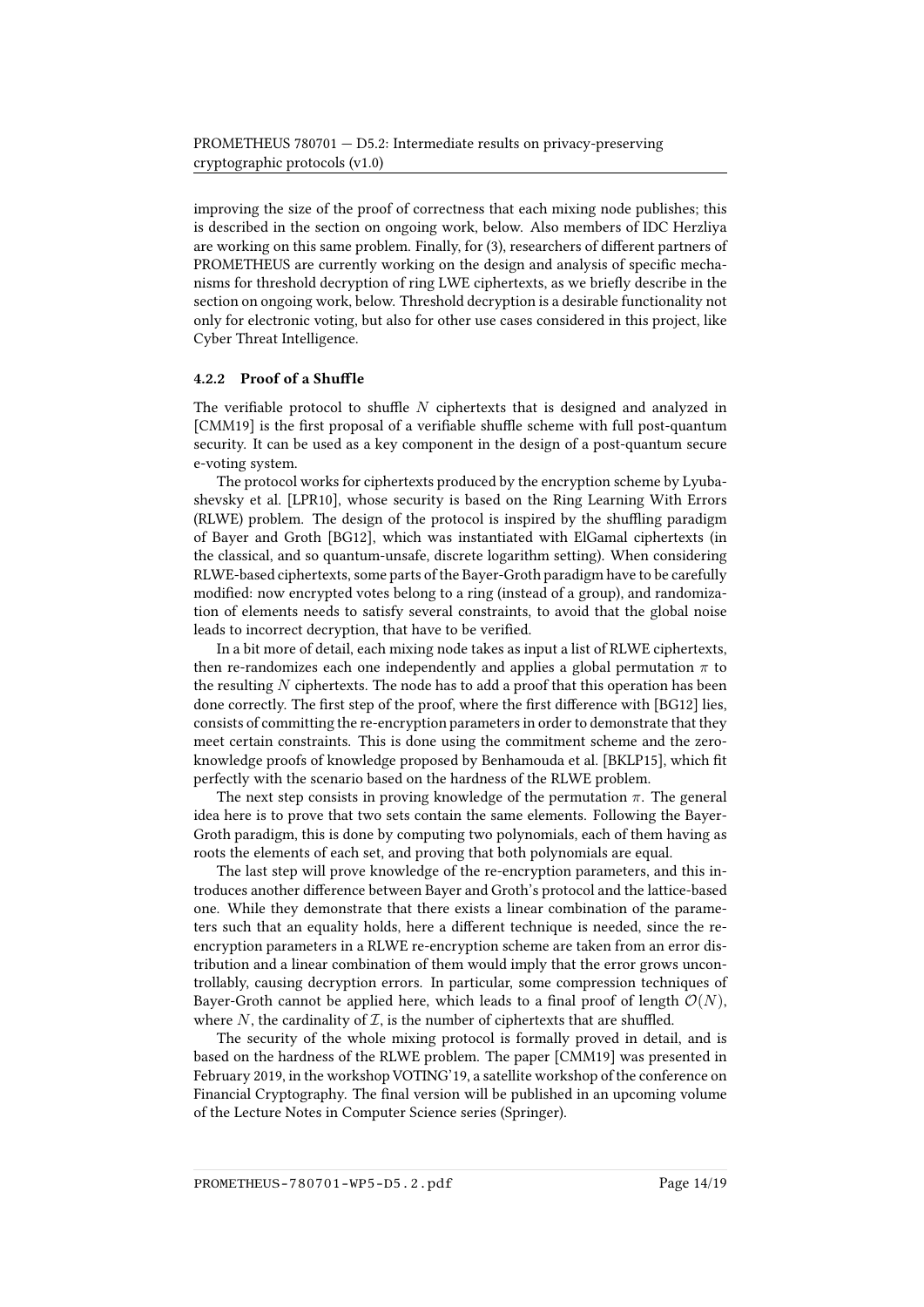improving the size of the proof of correctness that each mixing node publishes; this is described in the section on ongoing work, below. Also members of IDC Herzliya are working on this same problem. Finally, for (3), researchers of different partners of PROMETHEUS are currently working on the design and analysis of specific mechanisms for threshold decryption of ring LWE ciphertexts, as we briefly describe in the section on ongoing work, below. Threshold decryption is a desirable functionality not only for electronic voting, but also for other use cases considered in this project, like Cyber Threat Intelligence.

#### 4.2.2 Proof of a Shuffle

The verifiable protocol to shuffle  $N$  ciphertexts that is designed and analyzed in [\[CMM19\]](#page-17-10) is the first proposal of a verifiable shuffle scheme with full post-quantum security. It can be used as a key component in the design of a post-quantum secure e-voting system.

The protocol works for ciphertexts produced by the encryption scheme by Lyubashevsky et al. [\[LPR10\]](#page-18-4), whose security is based on the Ring Learning With Errors (RLWE) problem. The design of the protocol is inspired by the shuffling paradigm of Bayer and Groth [\[BG12\]](#page-16-4), which was instantiated with ElGamal ciphertexts (in the classical, and so quantum-unsafe, discrete logarithm setting). When considering RLWE-based ciphertexts, some parts of the Bayer-Groth paradigm have to be carefully modified: now encrypted votes belong to a ring (instead of a group), and randomization of elements needs to satisfy several constraints, to avoid that the global noise leads to incorrect decryption, that have to be verified.

In a bit more of detail, each mixing node takes as input a list of RLWE ciphertexts, then re-randomizes each one independently and applies a global permutation  $\pi$  to the resulting  $N$  ciphertexts. The node has to add a proof that this operation has been done correctly. The first step of the proof, where the first difference with [\[BG12\]](#page-16-4) lies, consists of committing the re-encryption parameters in order to demonstrate that they meet certain constraints. This is done using the commitment scheme and the zero-knowledge proofs of knowledge proposed by Benhamouda et al. [\[BKLP15\]](#page-16-5), which fit perfectly with the scenario based on the hardness of the RLWE problem.

The next step consists in proving knowledge of the permutation  $\pi$ . The general idea here is to prove that two sets contain the same elements. Following the Bayer-Groth paradigm, this is done by computing two polynomials, each of them having as roots the elements of each set, and proving that both polynomials are equal.

The last step will prove knowledge of the re-encryption parameters, and this introduces another difference between Bayer and Groth's protocol and the lattice-based one. While they demonstrate that there exists a linear combination of the parameters such that an equality holds, here a different technique is needed, since the reencryption parameters in a RLWE re-encryption scheme are taken from an error distribution and a linear combination of them would imply that the error grows uncontrollably, causing decryption errors. In particular, some compression techniques of Bayer-Groth cannot be applied here, which leads to a final proof of length  $\mathcal{O}(N)$ , where  $N$ , the cardinality of  $\mathcal{I}$ , is the number of ciphertexts that are shuffled.

The security of the whole mixing protocol is formally proved in detail, and is based on the hardness of the RLWE problem. The paper [\[CMM19\]](#page-17-10) was presented in February 2019, in the workshop VOTING'19, a satellite workshop of the conference on Financial Cryptography. The final version will be published in an upcoming volume of the Lecture Notes in Computer Science series (Springer).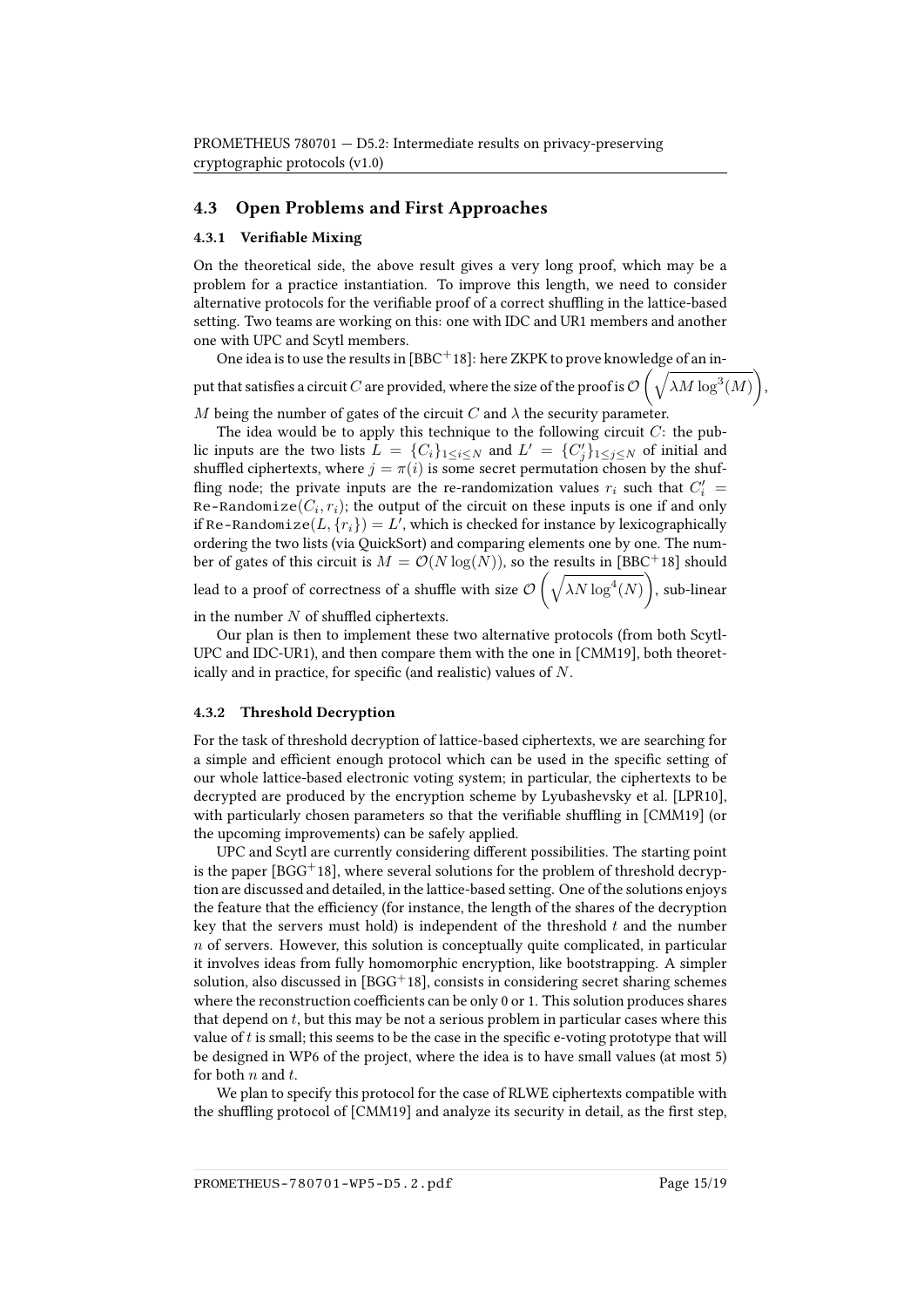#### <span id="page-14-0"></span>4.3 Open Problems and First Approaches

#### 4.3.1 Verifiable Mixing

On the theoretical side, the above result gives a very long proof, which may be a problem for a practice instantiation. To improve this length, we need to consider alternative protocols for the verifiable proof of a correct shuffling in the lattice-based setting. Two teams are working on this: one with IDC and UR1 members and another one with UPC and Scytl members.

One idea is to use the results in  $[BBC + 18]$  $[BBC + 18]$ : here ZKPK to prove knowledge of an input that satisfies a circuit  $C$  are provided, where the size of the proof is  $\mathcal{O}\left(\sqrt{\lambda M\log^3(M)}\right)$ ,

M being the number of gates of the circuit C and  $\lambda$  the security parameter.

The idea would be to apply this technique to the following circuit  $C$ : the public inputs are the two lists  $L = \{C_i\}_{1 \leq i \leq N}$  and  $L' = \{C'_j\}_{1 \leq j \leq N}$  of initial and shuffled ciphertexts, where  $j = \pi(i)$  is some secret permutation chosen by the shuffling node; the private inputs are the re-randomization values  $r_i$  such that  $C_i'$  = Re-Randomize $(C_i, r_i);$  the output of the circuit on these inputs is one if and only if Re-Randomize $(L, \{r_i\}) = L'$ , which is checked for instance by lexicographically ordering the two lists (via QuickSort) and comparing elements one by one. The number of gates of this circuit is  $M = \mathcal{O}(N \log(N))$ , so the results in [\[BBC](#page-16-6)<sup>+</sup>18] should lead to a proof of correctness of a shuffle with size  $\mathcal{O}\left(\sqrt{\lambda N\log^4(N)}\right)$ , sub-linear

in the number  $N$  of shuffled ciphertexts.

Our plan is then to implement these two alternative protocols (from both Scytl-UPC and IDC-UR1), and then compare them with the one in [\[CMM19\]](#page-17-10), both theoretically and in practice, for specific (and realistic) values of  $N$ .

#### 4.3.2 Threshold Decryption

For the task of threshold decryption of lattice-based ciphertexts, we are searching for a simple and efficient enough protocol which can be used in the specific setting of our whole lattice-based electronic voting system; in particular, the ciphertexts to be decrypted are produced by the encryption scheme by Lyubashevsky et al. [\[LPR10\]](#page-18-4), with particularly chosen parameters so that the verifiable shuffling in [\[CMM19\]](#page-17-10) (or the upcoming improvements) can be safely applied.

UPC and Scytl are currently considering different possibilities. The starting point is the paper [\[BGG](#page-16-7)<sup>+</sup>18], where several solutions for the problem of threshold decryption are discussed and detailed, in the lattice-based setting. One of the solutions enjoys the feature that the efficiency (for instance, the length of the shares of the decryption key that the servers must hold) is independent of the threshold  $t$  and the number  $n$  of servers. However, this solution is conceptually quite complicated, in particular it involves ideas from fully homomorphic encryption, like bootstrapping. A simpler solution, also discussed in  $[BGG+18]$  $[BGG+18]$ , consists in considering secret sharing schemes where the reconstruction coefficients can be only  $0$  or 1. This solution produces shares that depend on  $t$ , but this may be not a serious problem in particular cases where this value of  $t$  is small; this seems to be the case in the specific e-voting prototype that will be designed in WP6 of the project, where the idea is to have small values (at most 5) for both  $n$  and  $t$ .

We plan to specify this protocol for the case of RLWE ciphertexts compatible with the shuffling protocol of [\[CMM19\]](#page-17-10) and analyze its security in detail, as the first step,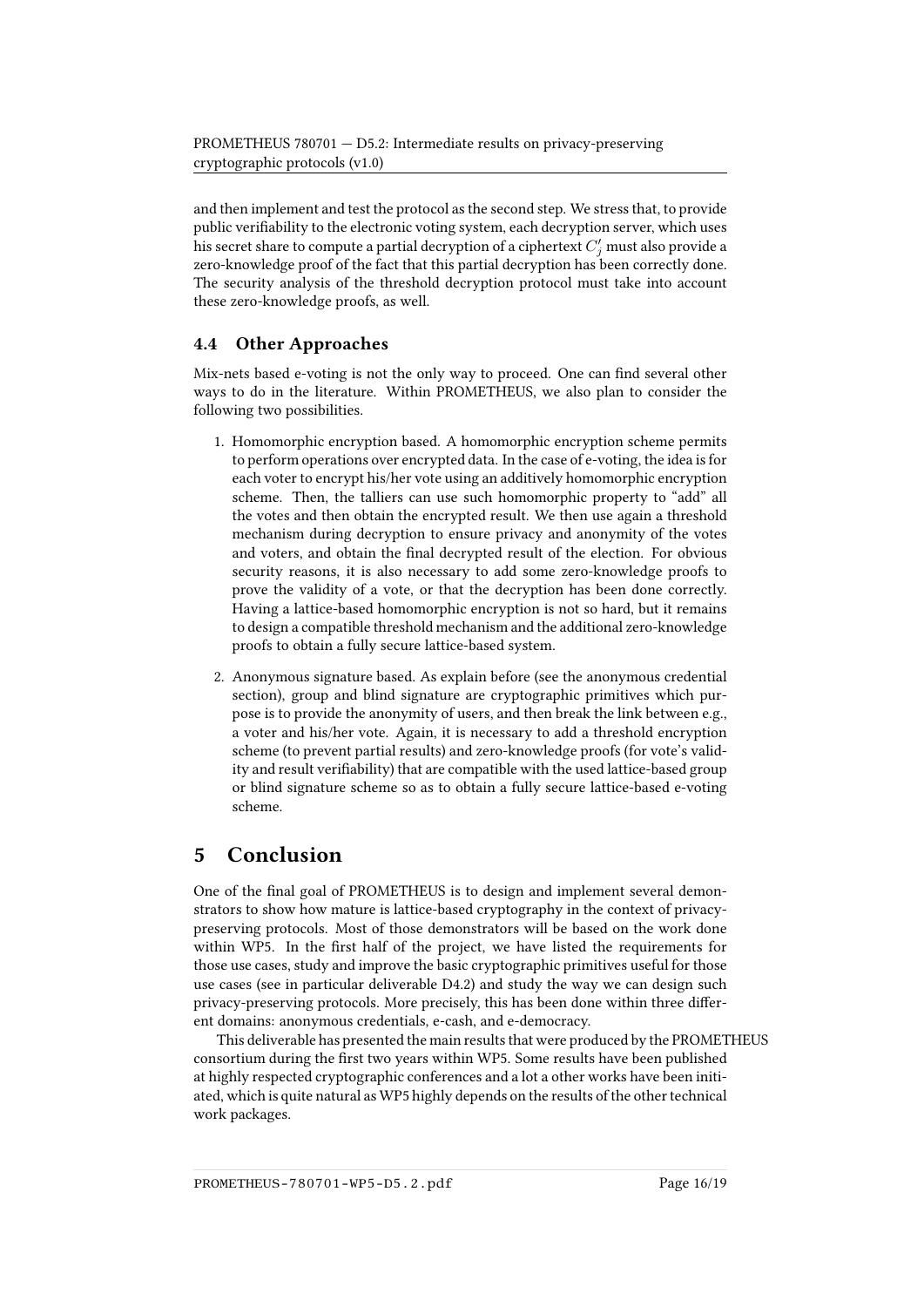and then implement and test the protocol as the second step. We stress that, to provide public verifiability to the electronic voting system, each decryption server, which uses his secret share to compute a partial decryption of a ciphertext  $C_j^\prime$  must also provide a zero-knowledge proof of the fact that this partial decryption has been correctly done. The security analysis of the threshold decryption protocol must take into account these zero-knowledge proofs, as well.

## <span id="page-15-0"></span>4.4 Other Approaches

Mix-nets based e-voting is not the only way to proceed. One can find several other ways to do in the literature. Within PROMETHEUS, we also plan to consider the following two possibilities.

- 1. Homomorphic encryption based. A homomorphic encryption scheme permits to perform operations over encrypted data. In the case of e-voting, the idea is for each voter to encrypt his/her vote using an additively homomorphic encryption scheme. Then, the talliers can use such homomorphic property to "add" all the votes and then obtain the encrypted result. We then use again a threshold mechanism during decryption to ensure privacy and anonymity of the votes and voters, and obtain the final decrypted result of the election. For obvious security reasons, it is also necessary to add some zero-knowledge proofs to prove the validity of a vote, or that the decryption has been done correctly. Having a lattice-based homomorphic encryption is not so hard, but it remains to design a compatible threshold mechanism and the additional zero-knowledge proofs to obtain a fully secure lattice-based system.
- 2. Anonymous signature based. As explain before (see the anonymous credential section), group and blind signature are cryptographic primitives which purpose is to provide the anonymity of users, and then break the link between e.g., a voter and his/her vote. Again, it is necessary to add a threshold encryption scheme (to prevent partial results) and zero-knowledge proofs (for vote's validity and result verifiability) that are compatible with the used lattice-based group or blind signature scheme so as to obtain a fully secure lattice-based e-voting scheme.

## <span id="page-15-1"></span>5 Conclusion

One of the final goal of PROMETHEUS is to design and implement several demonstrators to show how mature is lattice-based cryptography in the context of privacypreserving protocols. Most of those demonstrators will be based on the work done within WP5. In the first half of the project, we have listed the requirements for those use cases, study and improve the basic cryptographic primitives useful for those use cases (see in particular deliverable D4.2) and study the way we can design such privacy-preserving protocols. More precisely, this has been done within three different domains: anonymous credentials, e-cash, and e-democracy.

This deliverable has presented the main results that were produced by the PROMETHEUS consortium during the first two years within WP5. Some results have been published at highly respected cryptographic conferences and a lot a other works have been initiated, which is quite natural as WP5 highly depends on the results of the other technical work packages.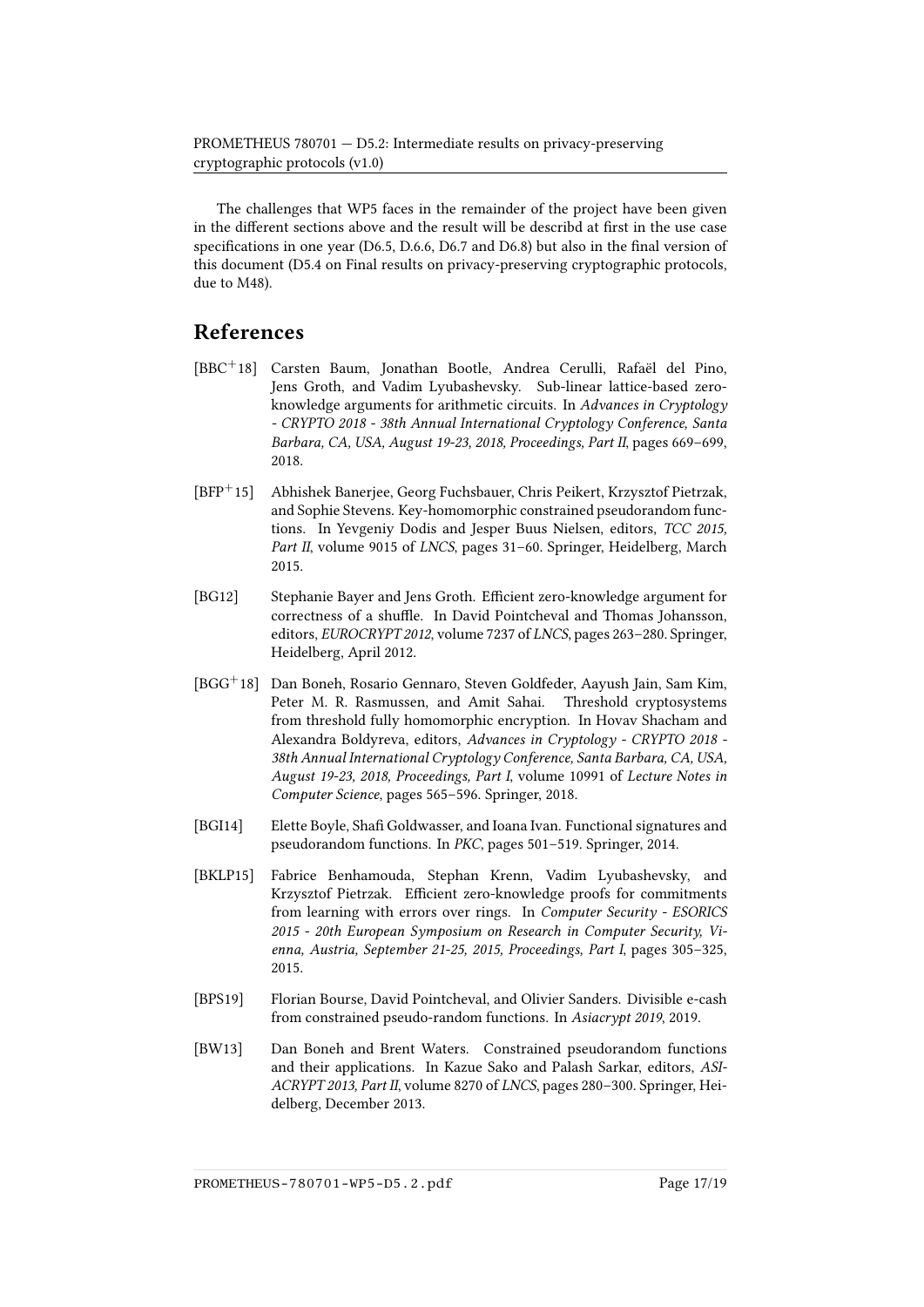The challenges that WP5 faces in the remainder of the project have been given in the different sections above and the result will be describd at first in the use case specifications in one year (D6.5, D.6.6, D6.7 and D6.8) but also in the final version of this document (D5.4 on Final results on privacy-preserving cryptographic protocols, due to M48).

## References

- <span id="page-16-6"></span>[BBC+18] Carsten Baum, Jonathan Bootle, Andrea Cerulli, Rafaël del Pino, Jens Groth, and Vadim Lyubashevsky. Sub-linear lattice-based zeroknowledge arguments for arithmetic circuits. In Advances in Cryptology - CRYPTO 2018 - 38th Annual International Cryptology Conference, Santa Barbara, CA, USA, August 19-23, 2018, Proceedings, Part II, pages 669–699, 2018.
- <span id="page-16-3"></span>[BFP+15] Abhishek Banerjee, Georg Fuchsbauer, Chris Peikert, Krzysztof Pietrzak, and Sophie Stevens. Key-homomorphic constrained pseudorandom functions. In Yevgeniy Dodis and Jesper Buus Nielsen, editors, TCC 2015, Part II, volume 9015 of LNCS, pages 31–60. Springer, Heidelberg, March 2015.
- <span id="page-16-4"></span>[BG12] Stephanie Bayer and Jens Groth. Efficient zero-knowledge argument for correctness of a shuffle. In David Pointcheval and Thomas Johansson, editors, EUROCRYPT 2012, volume 7237 of LNCS, pages 263–280. Springer, Heidelberg, April 2012.
- <span id="page-16-7"></span>[BGG<sup>+</sup>18] Dan Boneh, Rosario Gennaro, Steven Goldfeder, Aayush Jain, Sam Kim, Peter M. R. Rasmussen, and Amit Sahai. Threshold cryptosystems from threshold fully homomorphic encryption. In Hovav Shacham and Alexandra Boldyreva, editors, Advances in Cryptology - CRYPTO 2018 - 38th Annual International Cryptology Conference, Santa Barbara, CA, USA, August 19-23, 2018, Proceedings, Part I, volume 10991 of Lecture Notes in Computer Science, pages 565–596. Springer, 2018.
- <span id="page-16-1"></span>[BGI14] Elette Boyle, Shafi Goldwasser, and Ioana Ivan. Functional signatures and pseudorandom functions. In PKC, pages 501–519. Springer, 2014.
- <span id="page-16-5"></span>[BKLP15] Fabrice Benhamouda, Stephan Krenn, Vadim Lyubashevsky, and Krzysztof Pietrzak. Efficient zero-knowledge proofs for commitments from learning with errors over rings. In Computer Security - ESORICS 2015 - 20th European Symposium on Research in Computer Security, Vienna, Austria, September 21-25, 2015, Proceedings, Part I, pages 305–325, 2015.
- <span id="page-16-0"></span>[BPS19] Florian Bourse, David Pointcheval, and Olivier Sanders. Divisible e-cash from constrained pseudo-random functions. In Asiacrypt 2019, 2019.
- <span id="page-16-2"></span>[BW13] Dan Boneh and Brent Waters. Constrained pseudorandom functions and their applications. In Kazue Sako and Palash Sarkar, editors, ASI-ACRYPT 2013, Part II, volume 8270 of LNCS, pages 280–300. Springer, Heidelberg, December 2013.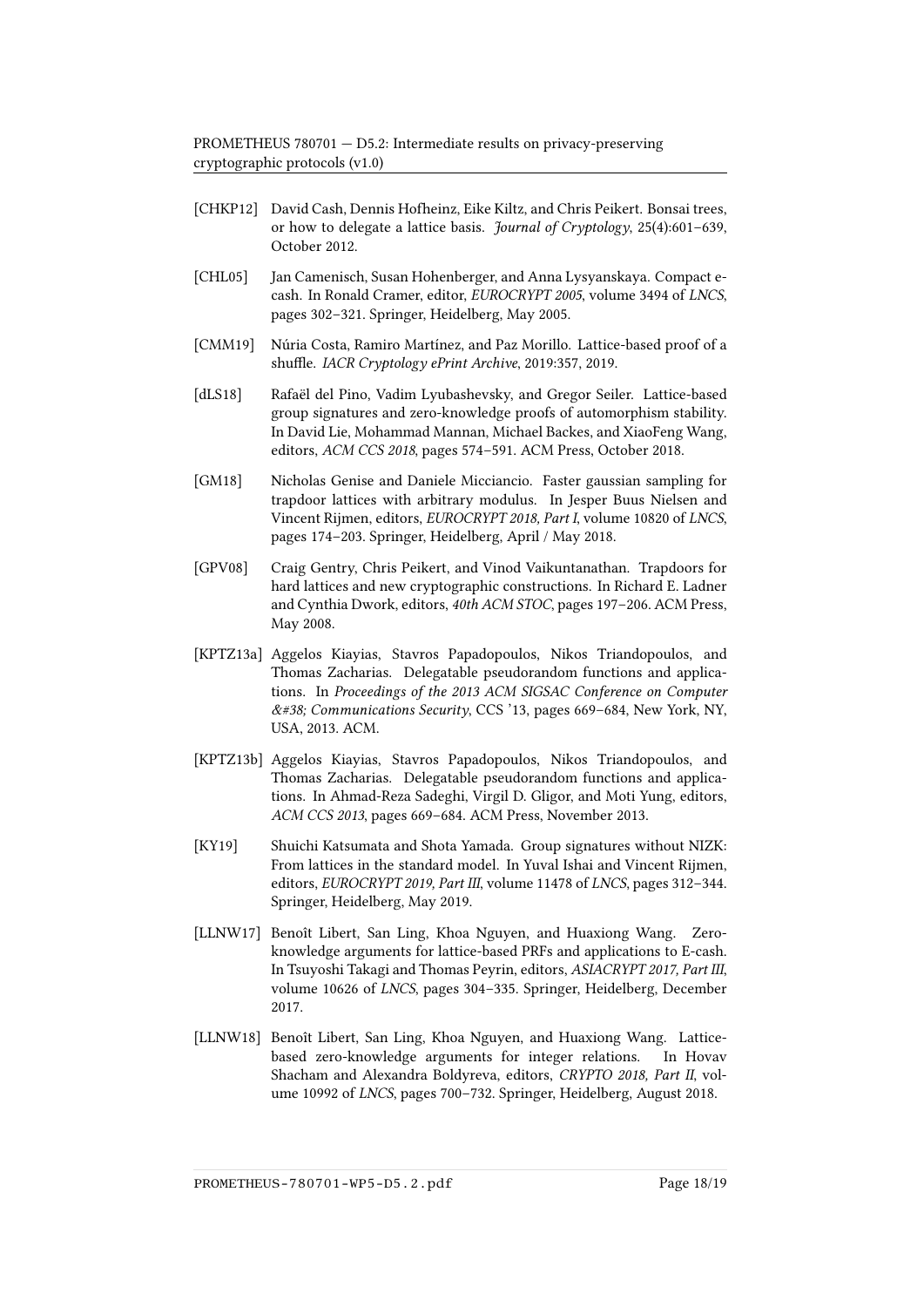PROMETHEUS 780701 — D5.2: Intermediate results on privacy-preserving cryptographic protocols (v1.0)

- <span id="page-17-2"></span>[CHKP12] David Cash, Dennis Hofheinz, Eike Kiltz, and Chris Peikert. Bonsai trees, or how to delegate a lattice basis. Journal of Cryptology, 25(4):601–639, October 2012.
- <span id="page-17-6"></span>[CHL05] Jan Camenisch, Susan Hohenberger, and Anna Lysyanskaya. Compact ecash. In Ronald Cramer, editor, EUROCRYPT 2005, volume 3494 of LNCS, pages 302–321. Springer, Heidelberg, May 2005.
- <span id="page-17-10"></span>[CMM19] Núria Costa, Ramiro Martínez, and Paz Morillo. Lattice-based proof of a shuffle. IACR Cryptology ePrint Archive, 2019:357, 2019.
- <span id="page-17-0"></span>[dLS18] Rafaël del Pino, Vadim Lyubashevsky, and Gregor Seiler. Lattice-based group signatures and zero-knowledge proofs of automorphism stability. In David Lie, Mohammad Mannan, Michael Backes, and XiaoFeng Wang, editors, ACM CCS 2018, pages 574–591. ACM Press, October 2018.
- <span id="page-17-3"></span>[GM18] Nicholas Genise and Daniele Micciancio. Faster gaussian sampling for trapdoor lattices with arbitrary modulus. In Jesper Buus Nielsen and Vincent Rijmen, editors, EUROCRYPT 2018, Part I, volume 10820 of LNCS, pages 174–203. Springer, Heidelberg, April / May 2018.
- <span id="page-17-4"></span>[GPV08] Craig Gentry, Chris Peikert, and Vinod Vaikuntanathan. Trapdoors for hard lattices and new cryptographic constructions. In Richard E. Ladner and Cynthia Dwork, editors, 40th ACM STOC, pages 197–206. ACM Press, May 2008.
- <span id="page-17-8"></span>[KPTZ13a] Aggelos Kiayias, Stavros Papadopoulos, Nikos Triandopoulos, and Thomas Zacharias. Delegatable pseudorandom functions and applications. In Proceedings of the 2013 ACM SIGSAC Conference on Computer  $&\text{\#38; Communications Security, CCS'}$  13, pages 669-684, New York, NY, USA, 2013. ACM.
- <span id="page-17-9"></span>[KPTZ13b] Aggelos Kiayias, Stavros Papadopoulos, Nikos Triandopoulos, and Thomas Zacharias. Delegatable pseudorandom functions and applications. In Ahmad-Reza Sadeghi, Virgil D. Gligor, and Moti Yung, editors, ACM CCS 2013, pages 669–684. ACM Press, November 2013.
- <span id="page-17-1"></span>[KY19] Shuichi Katsumata and Shota Yamada. Group signatures without NIZK: From lattices in the standard model. In Yuval Ishai and Vincent Rijmen, editors, EUROCRYPT 2019, Part III, volume 11478 of LNCS, pages 312–344. Springer, Heidelberg, May 2019.
- <span id="page-17-7"></span>[LLNW17] Benoît Libert, San Ling, Khoa Nguyen, and Huaxiong Wang. Zeroknowledge arguments for lattice-based PRFs and applications to E-cash. In Tsuyoshi Takagi and Thomas Peyrin, editors, ASIACRYPT 2017, Part III, volume 10626 of LNCS, pages 304–335. Springer, Heidelberg, December 2017.
- <span id="page-17-5"></span>[LLNW18] Benoît Libert, San Ling, Khoa Nguyen, and Huaxiong Wang. Latticebased zero-knowledge arguments for integer relations. In Hovav Shacham and Alexandra Boldyreva, editors, CRYPTO 2018, Part II, volume 10992 of LNCS, pages 700–732. Springer, Heidelberg, August 2018.